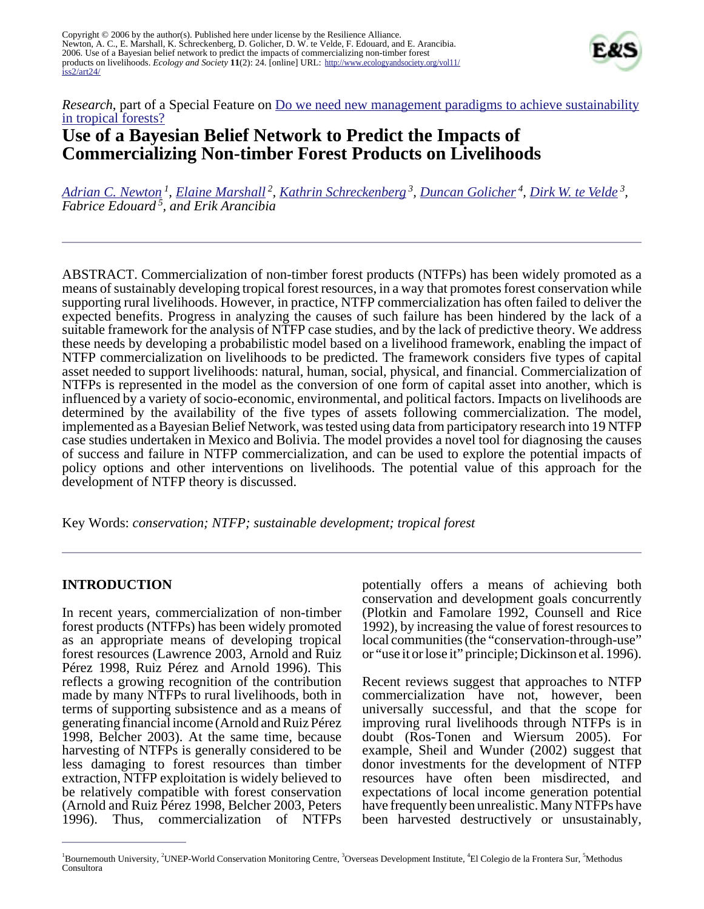Copyright © 2006 by the author(s). Published here under license by the Resilience Alliance. Newton, A. C., E. Marshall, K. Schreckenberg, D. Golicher, D. W. te Velde, F. Edouard, and E. Arancibia. 2006. Use of a Bayesian belief network to predict the impacts of commercializing non-timber forest products on livelihoods. *Ecology and Society* **11**(2): 24. [online] URL: [http://www.ecologyandsociety.org/vol11/](http://www.ecologyandsociety.org/vol11/iss2/art24/) [iss2/art24/](http://www.ecologyandsociety.org/vol11/iss2/art24/)



*Research*, part of a Special Feature on <u>Do we need new management paradigms to achieve sustainability</u> [in tropical forests?](http://www.ecologyandsociety.org/viewissue.php?sf=27)

# **Use of a Bayesian Belief Network to Predict the Impacts of Commercializing Non-timber Forest Products on Livelihoods**

*[Adrian C. Newton](mailto:anewton@bournemouth.ac.uk)<sup>1</sup> , [Elaine Marshall](mailto:elaine.marshall@unep-wcmc.org)<sup>2</sup> , [Kathrin Schreckenberg](mailto:KSchreckenberg@odi.org.uk)<sup>3</sup> , [Duncan Golicher](mailto:dgoliche@sclc.ecosur.mx)<sup>4</sup> , [Dirk W. te Velde](mailto:dwtevelde@odi.org.uk)<sup>3</sup> , Fabrice Edouard<sup>5</sup>, and Erik Arancibia*

ABSTRACT. Commercialization of non-timber forest products (NTFPs) has been widely promoted as a means of sustainably developing tropical forest resources, in a way that promotes forest conservation while supporting rural livelihoods. However, in practice, NTFP commercialization has often failed to deliver the expected benefits. Progress in analyzing the causes of such failure has been hindered by the lack of a suitable framework for the analysis of NTFP case studies, and by the lack of predictive theory. We address these needs by developing a probabilistic model based on a livelihood framework, enabling the impact of NTFP commercialization on livelihoods to be predicted. The framework considers five types of capital asset needed to support livelihoods: natural, human, social, physical, and financial. Commercialization of NTFPs is represented in the model as the conversion of one form of capital asset into another, which is influenced by a variety of socio-economic, environmental, and political factors. Impacts on livelihoods are determined by the availability of the five types of assets following commercialization. The model, implemented as a Bayesian Belief Network, was tested using data from participatory research into 19 NTFP case studies undertaken in Mexico and Bolivia. The model provides a novel tool for diagnosing the causes of success and failure in NTFP commercialization, and can be used to explore the potential impacts of policy options and other interventions on livelihoods. The potential value of this approach for the development of NTFP theory is discussed.

Key Words: *conservation; NTFP; sustainable development; tropical forest*

#### **INTRODUCTION**

In recent years, commercialization of non-timber forest products (NTFPs) has been widely promoted as an appropriate means of developing tropical forest resources (Lawrence 2003, Arnold and Ruiz Pérez 1998, Ruiz Pérez and Arnold 1996). This reflects a growing recognition of the contribution made by many NTFPs to rural livelihoods, both in terms of supporting subsistence and as a means of generating financial income (Arnold and Ruiz Pérez 1998, Belcher 2003). At the same time, because harvesting of NTFPs is generally considered to be less damaging to forest resources than timber extraction, NTFP exploitation is widely believed to be relatively compatible with forest conservation (Arnold and Ruiz Pérez 1998, Belcher 2003, Peters 1996). Thus, commercialization of NTFPs

potentially offers a means of achieving both conservation and development goals concurrently (Plotkin and Famolare 1992, Counsell and Rice 1992), by increasing the value of forest resources to local communities (the "conservation-through-use" or "use it or lose it" principle; Dickinson et al. 1996).

Recent reviews suggest that approaches to NTFP commercialization have not, however, been universally successful, and that the scope for improving rural livelihoods through NTFPs is in doubt (Ros-Tonen and Wiersum 2005). For example, Sheil and Wunder (2002) suggest that donor investments for the development of NTFP resources have often been misdirected, and expectations of local income generation potential have frequently been unrealistic. Many NTFPs have been harvested destructively or unsustainably,

<sup>&</sup>lt;sup>1</sup>Bournemouth University, <sup>2</sup>UNEP-World Conservation Monitoring Centre, <sup>3</sup>Overseas Development Institute, <sup>4</sup>El Colegio de la Frontera Sur, <sup>5</sup>Methodus Consultora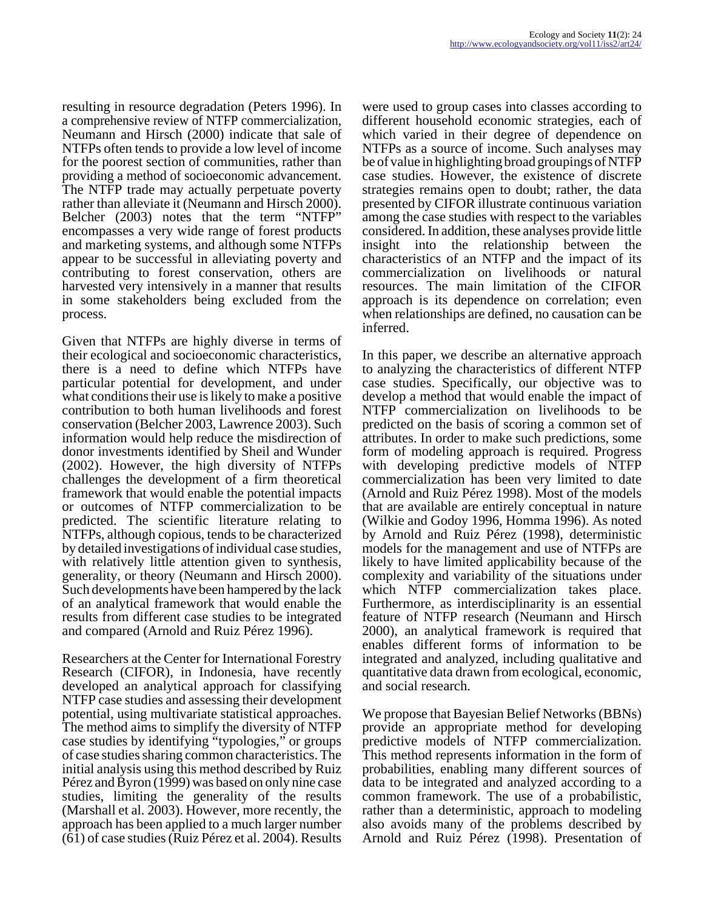resulting in resource degradation (Peters 1996). In a comprehensive review of NTFP commercialization, Neumann and Hirsch (2000) indicate that sale of NTFPs often tends to provide a low level of income for the poorest section of communities, rather than providing a method of socioeconomic advancement. The NTFP trade may actually perpetuate poverty rather than alleviate it (Neumann and Hirsch 2000). Belcher (2003) notes that the term "NTFP" encompasses a very wide range of forest products and marketing systems, and although some NTFPs appear to be successful in alleviating poverty and contributing to forest conservation, others are harvested very intensively in a manner that results in some stakeholders being excluded from the process.

Given that NTFPs are highly diverse in terms of their ecological and socioeconomic characteristics, there is a need to define which NTFPs have particular potential for development, and under what conditions their use is likely to make a positive contribution to both human livelihoods and forest conservation (Belcher 2003, Lawrence 2003). Such information would help reduce the misdirection of donor investments identified by Sheil and Wunder (2002). However, the high diversity of NTFPs challenges the development of a firm theoretical framework that would enable the potential impacts or outcomes of NTFP commercialization to be predicted. The scientific literature relating to NTFPs, although copious, tends to be characterized by detailed investigations of individual case studies, with relatively little attention given to synthesis, generality, or theory (Neumann and Hirsch 2000). Such developments have been hampered by the lack of an analytical framework that would enable the results from different case studies to be integrated and compared (Arnold and Ruiz Pérez 1996).

Researchers at the Center for International Forestry Research (CIFOR), in Indonesia, have recently developed an analytical approach for classifying NTFP case studies and assessing their development potential, using multivariate statistical approaches. The method aims to simplify the diversity of NTFP case studies by identifying "typologies," or groups of case studies sharing common characteristics. The initial analysis using this method described by Ruiz Pérez and Byron (1999) was based on only nine case studies, limiting the generality of the results (Marshall et al. 2003). However, more recently, the approach has been applied to a much larger number (61) of case studies (Ruiz Pérez et al. 2004). Results

were used to group cases into classes according to different household economic strategies, each of which varied in their degree of dependence on NTFPs as a source of income. Such analyses may be of value in highlighting broad groupings of NTFP case studies. However, the existence of discrete strategies remains open to doubt; rather, the data presented by CIFOR illustrate continuous variation among the case studies with respect to the variables considered. In addition, these analyses provide little insight into the relationship between the characteristics of an NTFP and the impact of its commercialization on livelihoods or natural resources. The main limitation of the CIFOR approach is its dependence on correlation; even when relationships are defined, no causation can be inferred.

In this paper, we describe an alternative approach to analyzing the characteristics of different NTFP case studies. Specifically, our objective was to develop a method that would enable the impact of NTFP commercialization on livelihoods to be predicted on the basis of scoring a common set of attributes. In order to make such predictions, some form of modeling approach is required. Progress with developing predictive models of NTFP commercialization has been very limited to date (Arnold and Ruiz Pérez 1998). Most of the models that are available are entirely conceptual in nature (Wilkie and Godoy 1996, Homma 1996). As noted by Arnold and Ruiz Pérez (1998), deterministic models for the management and use of NTFPs are likely to have limited applicability because of the complexity and variability of the situations under which NTFP commercialization takes place. Furthermore, as interdisciplinarity is an essential feature of NTFP research (Neumann and Hirsch 2000), an analytical framework is required that enables different forms of information to be integrated and analyzed, including qualitative and quantitative data drawn from ecological, economic, and social research.

We propose that Bayesian Belief Networks (BBNs) provide an appropriate method for developing predictive models of NTFP commercialization. This method represents information in the form of probabilities, enabling many different sources of data to be integrated and analyzed according to a common framework. The use of a probabilistic, rather than a deterministic, approach to modeling also avoids many of the problems described by Arnold and Ruiz Pérez (1998). Presentation of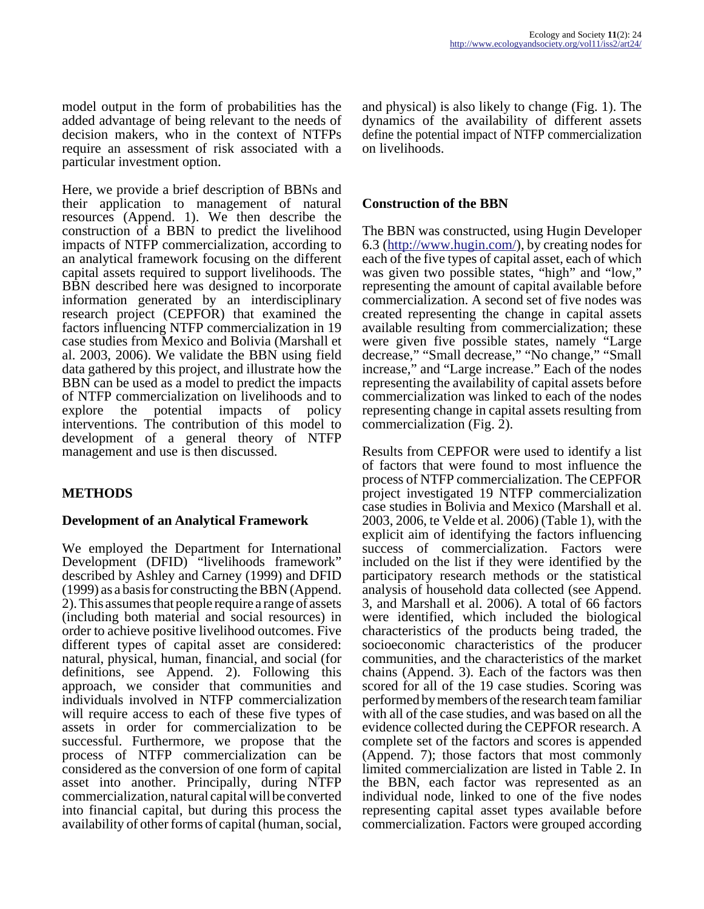model output in the form of probabilities has the added advantage of being relevant to the needs of decision makers, who in the context of NTFPs require an assessment of risk associated with a particular investment option.

Here, we provide a brief description of BBNs and their application to management of natural resources (Append. 1). We then describe the construction of a BBN to predict the livelihood impacts of NTFP commercialization, according to an analytical framework focusing on the different capital assets required to support livelihoods. The BBN described here was designed to incorporate information generated by an interdisciplinary research project (CEPFOR) that examined the factors influencing NTFP commercialization in 19 case studies from Mexico and Bolivia (Marshall et al. 2003, 2006). We validate the BBN using field data gathered by this project, and illustrate how the BBN can be used as a model to predict the impacts of NTFP commercialization on livelihoods and to explore the potential impacts of policy interventions. The contribution of this model to development of a general theory of NTFP management and use is then discussed.

# **METHODS**

#### **Development of an Analytical Framework**

We employed the Department for International Development (DFID) "livelihoods framework" described by Ashley and Carney (1999) and DFID (1999) as a basis for constructing the BBN (Append. 2). This assumes that people require a range of assets (including both material and social resources) in order to achieve positive livelihood outcomes. Five different types of capital asset are considered: natural, physical, human, financial, and social (for definitions, see Append. 2). Following this approach, we consider that communities and individuals involved in NTFP commercialization will require access to each of these five types of assets in order for commercialization to be successful. Furthermore, we propose that the process of NTFP commercialization can be considered as the conversion of one form of capital asset into another. Principally, during NTFP commercialization, natural capital will be converted into financial capital, but during this process the availability of other forms of capital (human, social,

and physical) is also likely to change (Fig. 1). The dynamics of the availability of different assets define the potential impact of NTFP commercialization on livelihoods.

## **Construction of the BBN**

The BBN was constructed, using Hugin Developer 6.3 (<http://www.hugin.com/>), by creating nodes for each of the five types of capital asset, each of which was given two possible states, "high" and "low," representing the amount of capital available before commercialization. A second set of five nodes was created representing the change in capital assets available resulting from commercialization; these were given five possible states, namely "Large decrease," "Small decrease," "No change," "Small increase," and "Large increase." Each of the nodes representing the availability of capital assets before commercialization was linked to each of the nodes representing change in capital assets resulting from commercialization (Fig. 2).

Results from CEPFOR were used to identify a list of factors that were found to most influence the process of NTFP commercialization. The CEPFOR project investigated 19 NTFP commercialization case studies in Bolivia and Mexico (Marshall et al. 2003, 2006, te Velde et al. 2006) (Table 1), with the explicit aim of identifying the factors influencing success of commercialization. Factors were included on the list if they were identified by the participatory research methods or the statistical analysis of household data collected (see Append. 3, and Marshall et al. 2006). A total of 66 factors were identified, which included the biological characteristics of the products being traded, the socioeconomic characteristics of the producer communities, and the characteristics of the market chains (Append. 3). Each of the factors was then scored for all of the 19 case studies. Scoring was performed by members of the research team familiar with all of the case studies, and was based on all the evidence collected during the CEPFOR research. A complete set of the factors and scores is appended (Append. 7); those factors that most commonly limited commercialization are listed in Table 2. In the BBN, each factor was represented as an individual node, linked to one of the five nodes representing capital asset types available before commercialization. Factors were grouped according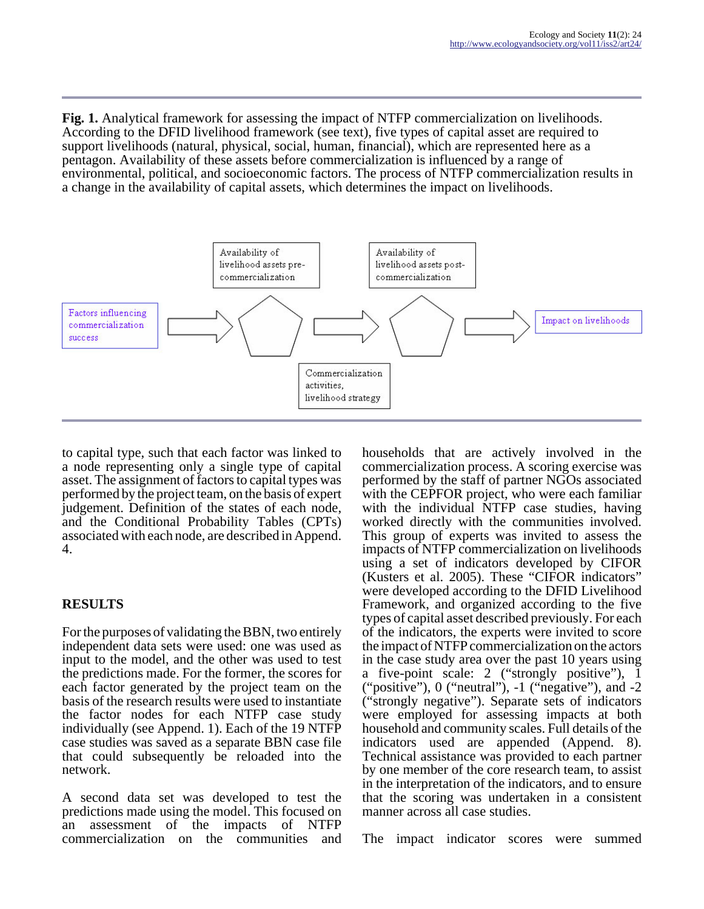**Fig. 1.** Analytical framework for assessing the impact of NTFP commercialization on livelihoods. According to the DFID livelihood framework (see text), five types of capital asset are required to support livelihoods (natural, physical, social, human, financial), which are represented here as a pentagon. Availability of these assets before commercialization is influenced by a range of environmental, political, and socioeconomic factors. The process of NTFP commercialization results in a change in the availability of capital assets, which determines the impact on livelihoods.



to capital type, such that each factor was linked to a node representing only a single type of capital asset. The assignment of factors to capital types was performed by the project team, on the basis of expert judgement. Definition of the states of each node, and the Conditional Probability Tables (CPTs) associated with each node, are described in Append. 4.

# **RESULTS**

For the purposes of validating the BBN, two entirely independent data sets were used: one was used as input to the model, and the other was used to test the predictions made. For the former, the scores for each factor generated by the project team on the basis of the research results were used to instantiate the factor nodes for each NTFP case study individually (see Append. 1). Each of the 19 NTFP case studies was saved as a separate BBN case file that could subsequently be reloaded into the network.

A second data set was developed to test the predictions made using the model. This focused on an assessment of the impacts of NTFP commercialization on the communities and

households that are actively involved in the commercialization process. A scoring exercise was performed by the staff of partner NGOs associated with the CEPFOR project, who were each familiar with the individual NTFP case studies, having worked directly with the communities involved. This group of experts was invited to assess the impacts of NTFP commercialization on livelihoods using a set of indicators developed by CIFOR (Kusters et al. 2005). These "CIFOR indicators" were developed according to the DFID Livelihood Framework, and organized according to the five types of capital asset described previously. For each of the indicators, the experts were invited to score the impact of NTFP commercialization on the actors in the case study area over the past 10 years using a five-point scale: 2 ("strongly positive"), 1 ("positive"),  $0$  ("neutral"),  $-1$  ("negative"), and  $-2$ ("strongly negative"). Separate sets of indicators were employed for assessing impacts at both household and community scales. Full details of the indicators used are appended (Append. 8). Technical assistance was provided to each partner by one member of the core research team, to assist in the interpretation of the indicators, and to ensure that the scoring was undertaken in a consistent manner across all case studies.

The impact indicator scores were summed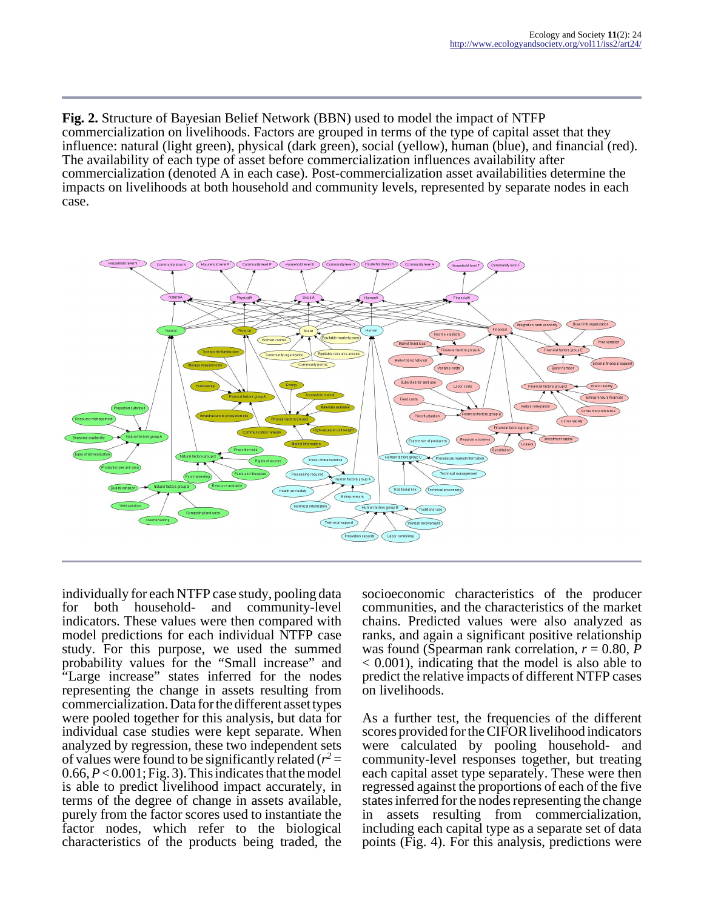**Fig. 2.** Structure of Bayesian Belief Network (BBN) used to model the impact of NTFP commercialization on livelihoods. Factors are grouped in terms of the type of capital asset that they influence: natural (light green), physical (dark green), social (yellow), human (blue), and financial (red). The availability of each type of asset before commercialization influences availability after commercialization (denoted A in each case). Post-commercialization asset availabilities determine the impacts on livelihoods at both household and community levels, represented by separate nodes in each case.



individually for each NTFP case study, pooling data for both household- and indicators. These values were then compared with model predictions for each individual NTFP case study. For this purpose, we used the summed probability values for the "Small increase" and "Large increase" states inferred for the nodes representing the change in assets resulting from commercialization. Data for the different asset types were pooled together for this analysis, but data for individual case studies were kept separate. When analyzed by regression, these two independent sets of values were found to be significantly related  $(r^2 =$  $0.66, P < 0.001$ ; Fig. 3). This indicates that the model is able to predict livelihood impact accurately, in terms of the degree of change in assets available, purely from the factor scores used to instantiate the factor nodes, which refer to the biological characteristics of the products being traded, the

socioeconomic characteristics of the producer communities, and the characteristics of the market chains. Predicted values were also analyzed as ranks, and again a significant positive relationship was found (Spearman rank correlation, *r* = 0.80, *P* < 0.001), indicating that the model is also able to predict the relative impacts of different NTFP cases on livelihoods.

As a further test, the frequencies of the different scores provided for the CIFOR livelihood indicators were calculated by pooling household- and community-level responses together, but treating each capital asset type separately. These were then regressed against the proportions of each of the five states inferred for the nodes representing the change in assets resulting from commercialization, including each capital type as a separate set of data points (Fig. 4). For this analysis, predictions were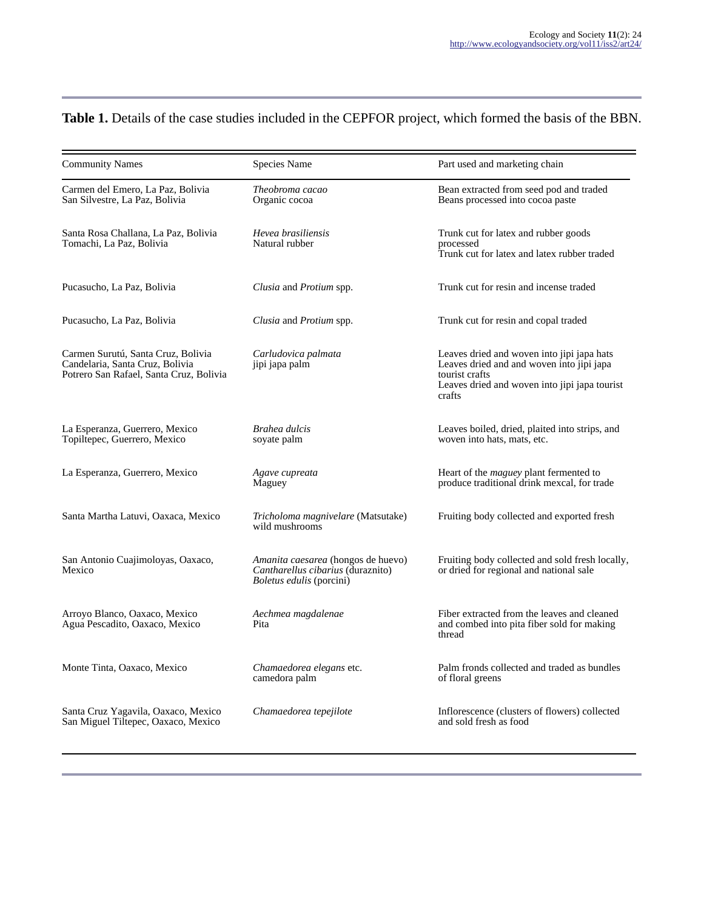| <b>Community Names</b>                                                                                           | Species Name                                                                                               | Part used and marketing chain                                                                                                                                        |
|------------------------------------------------------------------------------------------------------------------|------------------------------------------------------------------------------------------------------------|----------------------------------------------------------------------------------------------------------------------------------------------------------------------|
| Carmen del Emero, La Paz, Bolivia<br>San Silvestre, La Paz, Bolivia                                              | Theobroma cacao<br>Organic cocoa                                                                           | Bean extracted from seed pod and traded<br>Beans processed into cocoa paste                                                                                          |
| Santa Rosa Challana, La Paz, Bolivia<br>Tomachi, La Paz, Bolivia                                                 | Hevea brasiliensis<br>Natural rubber                                                                       | Trunk cut for latex and rubber goods<br>processed<br>Trunk cut for latex and latex rubber traded                                                                     |
| Pucasucho, La Paz, Bolivia                                                                                       | Clusia and <i>Protium</i> spp.                                                                             | Trunk cut for resin and incense traded                                                                                                                               |
| Pucasucho, La Paz, Bolivia                                                                                       | Clusia and Protium spp.                                                                                    | Trunk cut for resin and copal traded                                                                                                                                 |
| Carmen Surutú, Santa Cruz, Bolivia<br>Candelaria, Santa Cruz, Bolivia<br>Potrero San Rafael, Santa Cruz, Bolivia | Carludovica palmata<br>jipi japa palm                                                                      | Leaves dried and woven into jipi japa hats<br>Leaves dried and and woven into jipi japa<br>tourist crafts<br>Leaves dried and woven into jipi japa tourist<br>crafts |
| La Esperanza, Guerrero, Mexico<br>Topiltepec, Guerrero, Mexico                                                   | Brahea dulcis<br>soyate palm                                                                               | Leaves boiled, dried, plaited into strips, and<br>woven into hats, mats, etc.                                                                                        |
| La Esperanza, Guerrero, Mexico                                                                                   | Agave cupreata<br>Maguey                                                                                   | Heart of the <i>maguey</i> plant fermented to<br>produce traditional drink mexcal, for trade                                                                         |
| Santa Martha Latuvi, Oaxaca, Mexico                                                                              | Tricholoma magnivelare (Matsutake)<br>wild mushrooms                                                       | Fruiting body collected and exported fresh                                                                                                                           |
| San Antonio Cuajimoloyas, Oaxaco,<br>Mexico                                                                      | <i>Amanita caesarea</i> (hongos de huevo)<br>Cantharellus cibarius (duraznito)<br>Boletus edulis (porcini) | Fruiting body collected and sold fresh locally,<br>or dried for regional and national sale                                                                           |
| Arroyo Blanco, Oaxaco, Mexico<br>Agua Pescadito, Oaxaco, Mexico                                                  | Aechmea magdalenae<br>Pita                                                                                 | Fiber extracted from the leaves and cleaned<br>and combed into pita fiber sold for making<br>thread                                                                  |
| Monte Tinta, Oaxaco, Mexico                                                                                      | Chamaedorea elegans etc.<br>camedora palm                                                                  | Palm fronds collected and traded as bundles<br>of floral greens                                                                                                      |
| Santa Cruz Yagavila, Oaxaco, Mexico<br>San Miguel Tiltepec, Oaxaco, Mexico                                       | Chamaedorea tepejilote                                                                                     | Inflorescence (clusters of flowers) collected<br>and sold fresh as food                                                                                              |

# **Table 1.** Details of the case studies included in the CEPFOR project, which formed the basis of the BBN.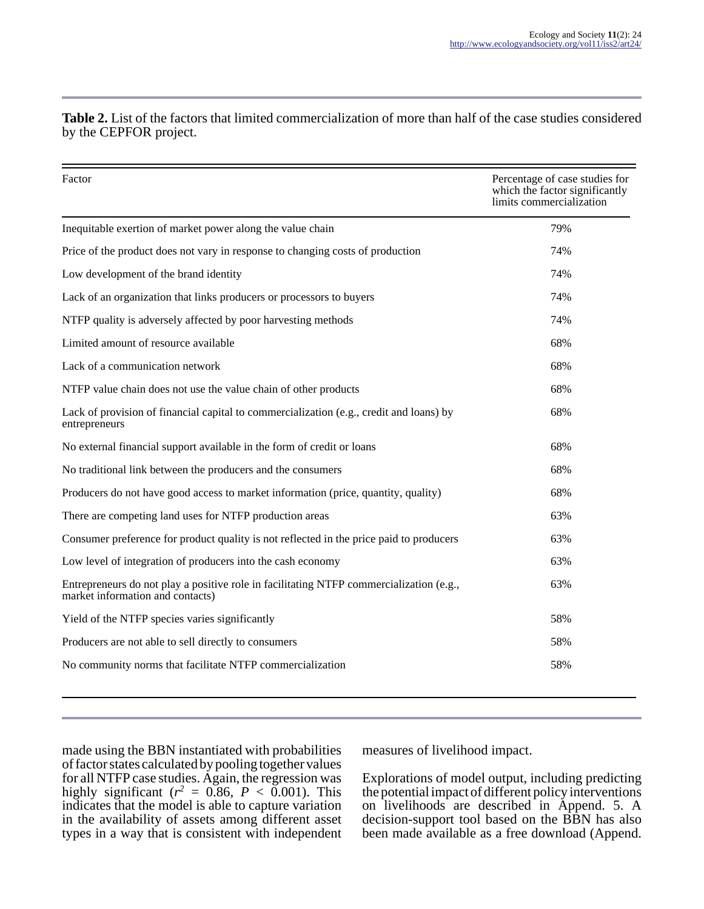| Factor                                                                                                                      | Percentage of case studies for<br>which the factor significantly<br>limits commercialization |
|-----------------------------------------------------------------------------------------------------------------------------|----------------------------------------------------------------------------------------------|
| Inequitable exertion of market power along the value chain                                                                  | 79%                                                                                          |
| Price of the product does not vary in response to changing costs of production                                              | 74%                                                                                          |
| Low development of the brand identity                                                                                       | 74%                                                                                          |
| Lack of an organization that links producers or processors to buyers                                                        | 74%                                                                                          |
| NTFP quality is adversely affected by poor harvesting methods                                                               | 74%                                                                                          |
| Limited amount of resource available                                                                                        | 68%                                                                                          |
| Lack of a communication network                                                                                             | 68%                                                                                          |
| NTFP value chain does not use the value chain of other products                                                             | 68%                                                                                          |
| Lack of provision of financial capital to commercialization (e.g., credit and loans) by<br>entrepreneurs                    | 68%                                                                                          |
| No external financial support available in the form of credit or loans                                                      | 68%                                                                                          |
| No traditional link between the producers and the consumers                                                                 | 68%                                                                                          |
| Producers do not have good access to market information (price, quantity, quality)                                          | 68%                                                                                          |
| There are competing land uses for NTFP production areas                                                                     | 63%                                                                                          |
| Consumer preference for product quality is not reflected in the price paid to producers                                     | 63%                                                                                          |
| Low level of integration of producers into the cash economy                                                                 | 63%                                                                                          |
| Entrepreneurs do not play a positive role in facilitating NTFP commercialization (e.g.,<br>market information and contacts) | 63%                                                                                          |
| Yield of the NTFP species varies significantly                                                                              | 58%                                                                                          |
| Producers are not able to sell directly to consumers                                                                        | 58%                                                                                          |
| No community norms that facilitate NTFP commercialization                                                                   | 58%                                                                                          |

**Table 2.** List of the factors that limited commercialization of more than half of the case studies considered by the CEPFOR project.

made using the BBN instantiated with probabilities of factor states calculated by pooling together values for all NTFP case studies. Again, the regression was highly significant ( $r^2 = 0.86$ ,  $P < 0.001$ ). This indicates that the model is able to capture variation in the availability of assets among different asset types in a way that is consistent with independent

measures of livelihood impact.

Explorations of model output, including predicting the potential impact of different policy interventions on livelihoods are described in Append. 5. A decision-support tool based on the BBN has also been made available as a free download (Append.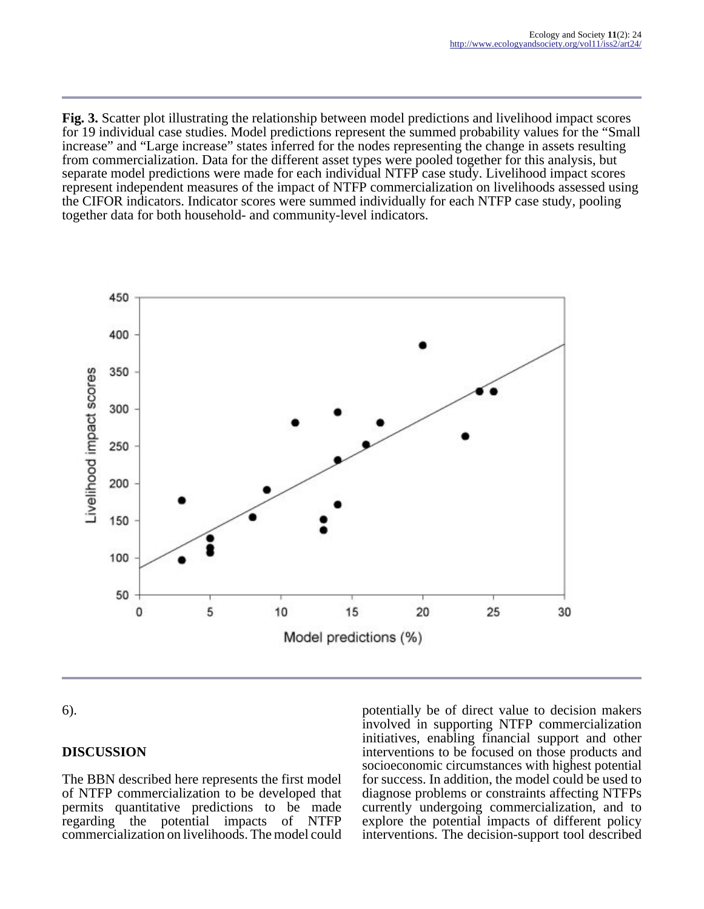**Fig. 3.** Scatter plot illustrating the relationship between model predictions and livelihood impact scores for 19 individual case studies. Model predictions represent the summed probability values for the "Small increase" and "Large increase" states inferred for the nodes representing the change in assets resulting from commercialization. Data for the different asset types were pooled together for this analysis, but separate model predictions were made for each individual NTFP case study. Livelihood impact scores represent independent measures of the impact of NTFP commercialization on livelihoods assessed using the CIFOR indicators. Indicator scores were summed individually for each NTFP case study, pooling together data for both household- and community-level indicators.



### 6).

# **DISCUSSION**

The BBN described here represents the first model of NTFP commercialization to be developed that permits quantitative predictions to be made regarding the potential impacts of NTFP commercialization on livelihoods. The model could potentially be of direct value to decision makers involved in supporting NTFP commercialization initiatives, enabling financial support and other interventions to be focused on those products and socioeconomic circumstances with highest potential for success. In addition, the model could be used to diagnose problems or constraints affecting NTFPs currently undergoing commercialization, and to explore the potential impacts of different policy interventions. The decision-support tool described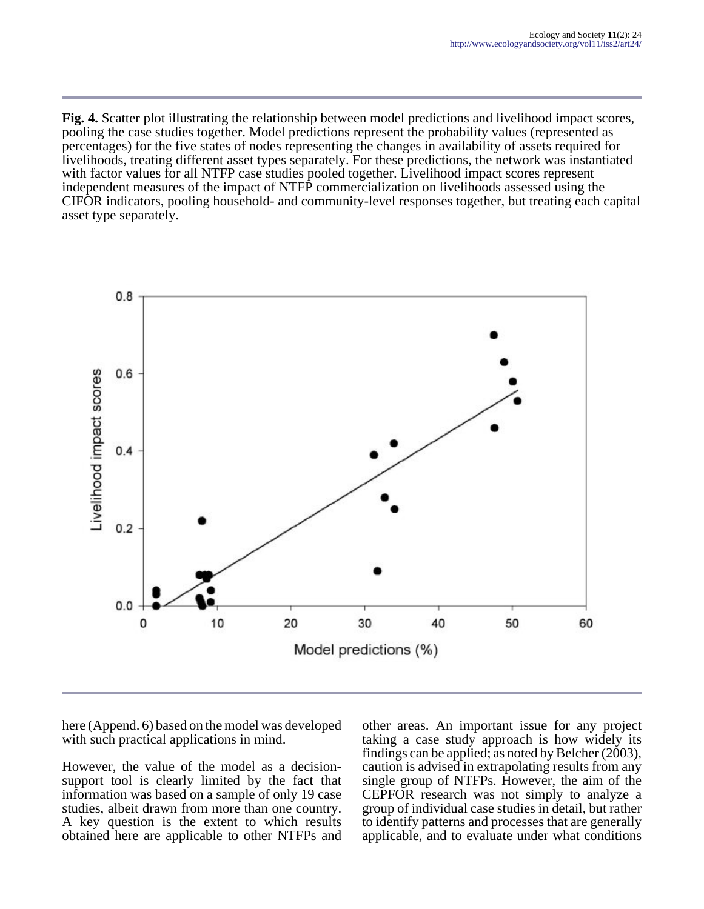**Fig. 4.** Scatter plot illustrating the relationship between model predictions and livelihood impact scores, pooling the case studies together. Model predictions represent the probability values (represented as percentages) for the five states of nodes representing the changes in availability of assets required for livelihoods, treating different asset types separately. For these predictions, the network was instantiated with factor values for all NTFP case studies pooled together. Livelihood impact scores represent independent measures of the impact of NTFP commercialization on livelihoods assessed using the CIFOR indicators, pooling household- and community-level responses together, but treating each capital asset type separately.



here (Append. 6) based on the model was developed with such practical applications in mind.

However, the value of the model as a decisionsupport tool is clearly limited by the fact that information was based on a sample of only 19 case studies, albeit drawn from more than one country. A key question is the extent to which results obtained here are applicable to other NTFPs and

other areas. An important issue for any project taking a case study approach is how widely its findings can be applied; as noted by Belcher (2003), caution is advised in extrapolating results from any single group of NTFPs. However, the aim of the CEPFOR research was not simply to analyze a group of individual case studies in detail, but rather to identify patterns and processes that are generally applicable, and to evaluate under what conditions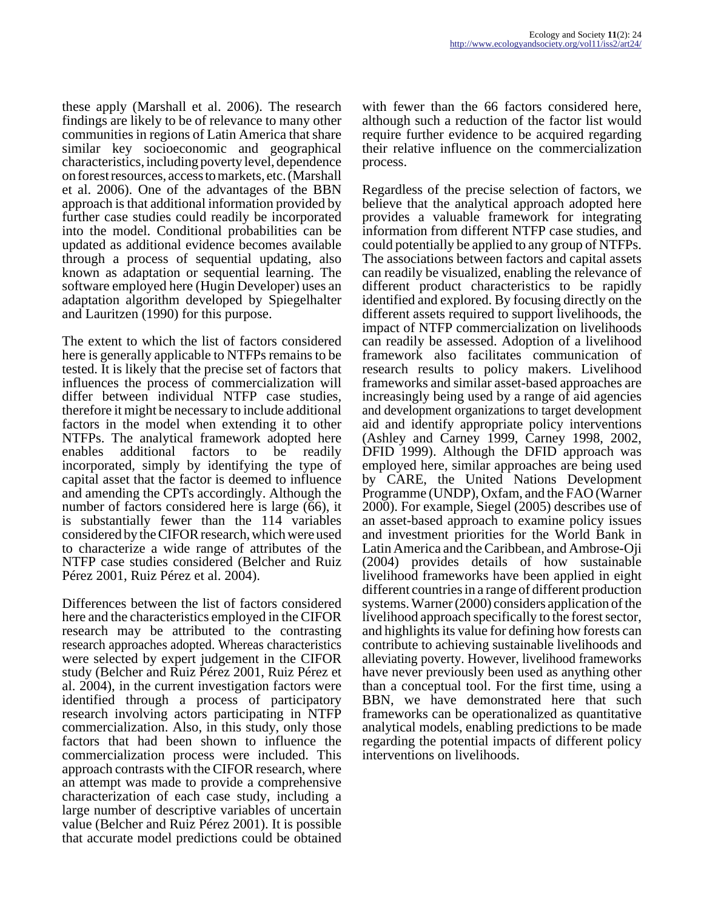these apply (Marshall et al. 2006). The research findings are likely to be of relevance to many other communities in regions of Latin America that share similar key socioeconomic and geographical characteristics, including poverty level, dependence on forest resources, access to markets, etc. (Marshall et al. 2006). One of the advantages of the BBN approach is that additional information provided by further case studies could readily be incorporated into the model. Conditional probabilities can be updated as additional evidence becomes available through a process of sequential updating, also known as adaptation or sequential learning. The software employed here (Hugin Developer) uses an adaptation algorithm developed by Spiegelhalter and Lauritzen (1990) for this purpose.

The extent to which the list of factors considered here is generally applicable to NTFPs remains to be tested. It is likely that the precise set of factors that influences the process of commercialization will differ between individual NTFP case studies, therefore it might be necessary to include additional factors in the model when extending it to other NTFPs. The analytical framework adopted here enables additional factors to be readily incorporated, simply by identifying the type of capital asset that the factor is deemed to influence and amending the CPTs accordingly. Although the number of factors considered here is large (66), it is substantially fewer than the 114 variables considered by the CIFOR research, which were used to characterize a wide range of attributes of the NTFP case studies considered (Belcher and Ruiz Pérez 2001, Ruiz Pérez et al. 2004).

Differences between the list of factors considered here and the characteristics employed in the CIFOR research may be attributed to the contrasting research approaches adopted. Whereas characteristics were selected by expert judgement in the CIFOR study (Belcher and Ruiz Pérez 2001, Ruiz Pérez et al. 2004), in the current investigation factors were identified through a process of participatory research involving actors participating in NTFP commercialization. Also, in this study, only those factors that had been shown to influence the commercialization process were included. This approach contrasts with the CIFOR research, where an attempt was made to provide a comprehensive characterization of each case study, including a large number of descriptive variables of uncertain value (Belcher and Ruiz Pérez 2001). It is possible that accurate model predictions could be obtained

with fewer than the 66 factors considered here, although such a reduction of the factor list would require further evidence to be acquired regarding their relative influence on the commercialization process.

Regardless of the precise selection of factors, we believe that the analytical approach adopted here provides a valuable framework for integrating information from different NTFP case studies, and could potentially be applied to any group of NTFPs. The associations between factors and capital assets can readily be visualized, enabling the relevance of different product characteristics to be rapidly identified and explored. By focusing directly on the different assets required to support livelihoods, the impact of NTFP commercialization on livelihoods can readily be assessed. Adoption of a livelihood framework also facilitates communication of research results to policy makers. Livelihood frameworks and similar asset-based approaches are increasingly being used by a range of aid agencies and development organizations to target development aid and identify appropriate policy interventions (Ashley and Carney 1999, Carney 1998, 2002, DFID 1999). Although the DFID approach was employed here, similar approaches are being used by CARE, the United Nations Development Programme (UNDP), Oxfam, and the FAO (Warner 2000). For example, Siegel (2005) describes use of an asset-based approach to examine policy issues and investment priorities for the World Bank in Latin America and the Caribbean, and Ambrose-Oji (2004) provides details of how sustainable livelihood frameworks have been applied in eight different countries in a range of different production systems. Warner (2000) considers application of the livelihood approach specifically to the forest sector, and highlights its value for defining how forests can contribute to achieving sustainable livelihoods and alleviating poverty. However, livelihood frameworks have never previously been used as anything other than a conceptual tool. For the first time, using a BBN, we have demonstrated here that such frameworks can be operationalized as quantitative analytical models, enabling predictions to be made regarding the potential impacts of different policy interventions on livelihoods.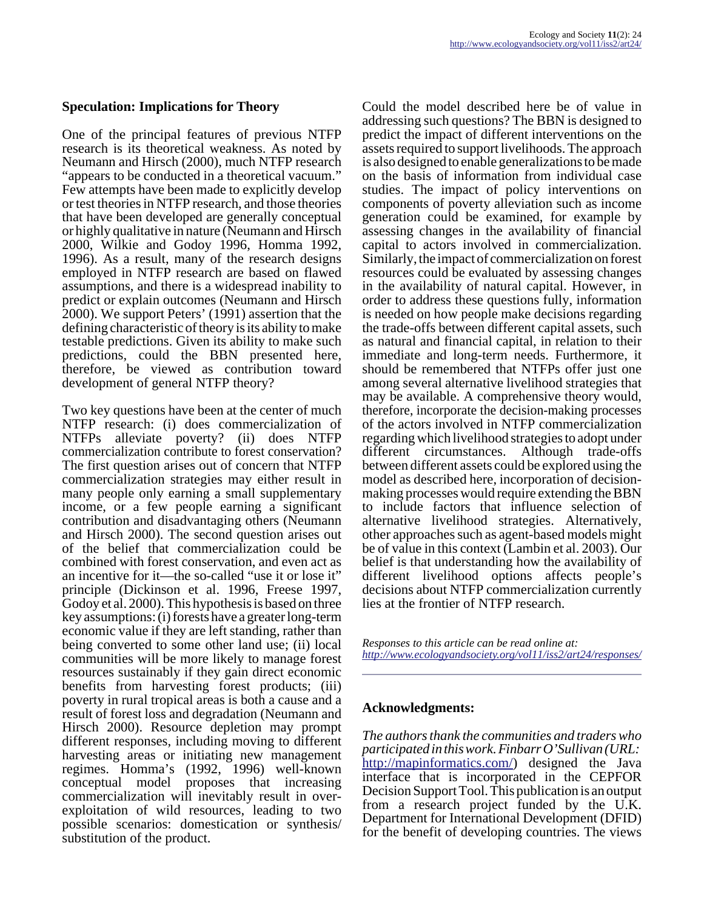#### **Speculation: Implications for Theory**

One of the principal features of previous NTFP research is its theoretical weakness. As noted by Neumann and Hirsch (2000), much NTFP research "appears to be conducted in a theoretical vacuum." Few attempts have been made to explicitly develop or test theories in NTFP research, and those theories that have been developed are generally conceptual or highly qualitative in nature (Neumann and Hirsch 2000, Wilkie and Godoy 1996, Homma 1992, 1996). As a result, many of the research designs employed in NTFP research are based on flawed assumptions, and there is a widespread inability to predict or explain outcomes (Neumann and Hirsch 2000). We support Peters' (1991) assertion that the defining characteristic of theory is its ability to make testable predictions. Given its ability to make such predictions, could the BBN presented here, therefore, be viewed as contribution toward development of general NTFP theory?

Two key questions have been at the center of much NTFP research: (i) does commercialization of NTFPs alleviate poverty? (ii) does NTFP commercialization contribute to forest conservation? The first question arises out of concern that NTFP commercialization strategies may either result in many people only earning a small supplementary income, or a few people earning a significant contribution and disadvantaging others (Neumann and Hirsch 2000). The second question arises out of the belief that commercialization could be combined with forest conservation, and even act as an incentive for it—the so-called "use it or lose it" principle (Dickinson et al. 1996, Freese 1997, Godoy et al. 2000). This hypothesis is based on three key assumptions: (i) forests have a greater long-term economic value if they are left standing, rather than being converted to some other land use; (ii) local communities will be more likely to manage forest resources sustainably if they gain direct economic benefits from harvesting forest products; (iii) poverty in rural tropical areas is both a cause and a result of forest loss and degradation (Neumann and Hirsch 2000). Resource depletion may prompt different responses, including moving to different harvesting areas or initiating new management regimes. Homma's (1992, 1996) well-known conceptual model proposes that increasing commercialization will inevitably result in overexploitation of wild resources, leading to two possible scenarios: domestication or synthesis/ substitution of the product.

Could the model described here be of value in addressing such questions? The BBN is designed to predict the impact of different interventions on the assets required to support livelihoods. The approach is also designed to enable generalizations to be made on the basis of information from individual case studies. The impact of policy interventions on components of poverty alleviation such as income generation could be examined, for example by assessing changes in the availability of financial capital to actors involved in commercialization. Similarly, the impact of commercialization on forest resources could be evaluated by assessing changes in the availability of natural capital. However, in order to address these questions fully, information is needed on how people make decisions regarding the trade-offs between different capital assets, such as natural and financial capital, in relation to their immediate and long-term needs. Furthermore, it should be remembered that NTFPs offer just one among several alternative livelihood strategies that may be available. A comprehensive theory would, therefore, incorporate the decision-making processes of the actors involved in NTFP commercialization regarding which livelihood strategies to adopt under different circumstances. Although trade-offs between different assets could be explored using the model as described here, incorporation of decisionmaking processes would require extending the BBN to include factors that influence selection of alternative livelihood strategies. Alternatively, other approaches such as agent-based models might be of value in this context (Lambin et al. 2003). Our belief is that understanding how the availability of different livelihood options affects people's decisions about NTFP commercialization currently lies at the frontier of NTFP research.

*Responses to this article can be read online at: <http://www.ecologyandsociety.org/vol11/iss2/art24/responses/>*

#### **Acknowledgments:**

*The authors thank the communities and traders who participated in this work. Finbarr O'Sullivan (URL:*  <http://mapinformatics.com/>) designed the Java interface that is incorporated in the CEPFOR Decision Support Tool. This publication is an output from a research project funded by the U.K. Department for International Development (DFID) for the benefit of developing countries. The views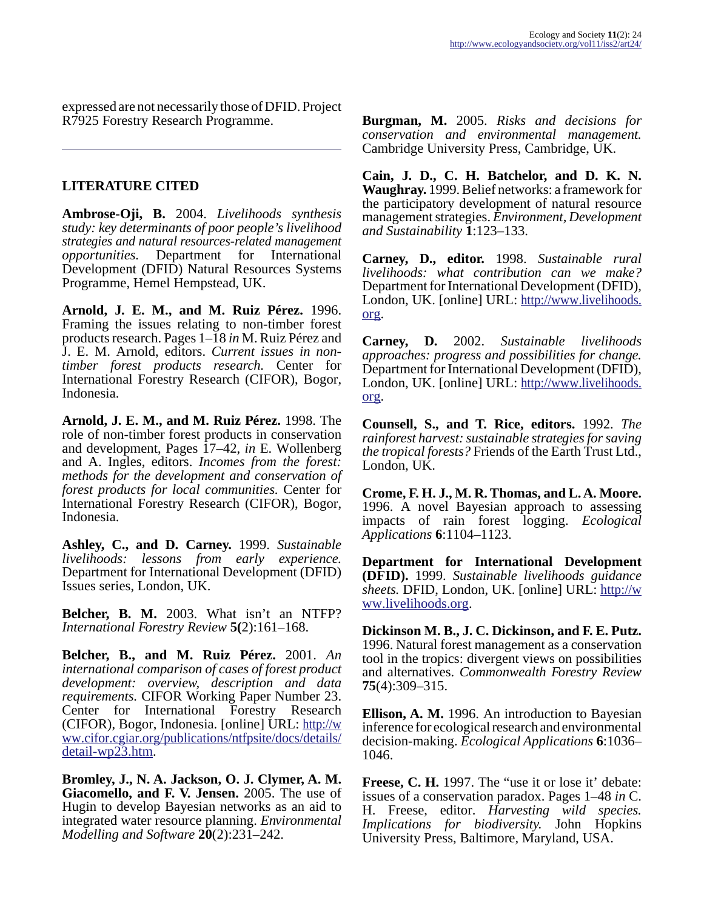expressed are not necessarily those of DFID. Project R7925 Forestry Research Programme.

## **LITERATURE CITED**

**Ambrose-Oji, B.** 2004. *Livelihoods synthesis study: key determinants of poor people's livelihood strategies and natural resources-related management opportunities.* Department for International Development (DFID) Natural Resources Systems Programme, Hemel Hempstead, UK.

**Arnold, J. E. M., and M. Ruiz Pérez.** 1996. Framing the issues relating to non-timber forest products research. Pages 1–18 *in* M. Ruiz Pérez and J. E. M. Arnold, editors. *Current issues in nontimber forest products research.* Center for International Forestry Research (CIFOR), Bogor, Indonesia.

**Arnold, J. E. M., and M. Ruiz Pérez.** 1998. The role of non-timber forest products in conservation and development, Pages 17–42, *in* E. Wollenberg and A. Ingles, editors. *Incomes from the forest: methods for the development and conservation of forest products for local communities.* Center for International Forestry Research (CIFOR), Bogor, Indonesia.

**Ashley, C., and D. Carney.** 1999. *Sustainable livelihoods: lessons from early experience.* Department for International Development (DFID) Issues series, London, UK.

**Belcher, B. M.** 2003. What isn't an NTFP? *International Forestry Review* **5(**2):161–168.

**Belcher, B., and M. Ruiz Pérez.** 2001. *An international comparison of cases of forest product development: overview, description and data requirements.* CIFOR Working Paper Number 23. Center for International Forestry Research (CIFOR), Bogor, Indonesia. [online] URL: [http://w](http://www.cifor.cgiar.org/publications/ntfpsite/docs/details/detail-wp23.htm) ww.cifor.cgiar.org/publications/ntfpsite/docs/details/ [detail-wp23.htm.](http://www.cifor.cgiar.org/publications/ntfpsite/docs/details/detail-wp23.htm)

**Bromley, J., N. A. Jackson, O. J. Clymer, A. M. Giacomello, and F. V. Jensen.** 2005. The use of Hugin to develop Bayesian networks as an aid to integrated water resource planning. *Environmental Modelling and Software* **20**(2):231–242.

**Burgman, M.** 2005. *Risks and decisions for conservation and environmental management.* Cambridge University Press, Cambridge, UK.

**Cain, J. D., C. H. Batchelor, and D. K. N. Waughray.** 1999. Belief networks: a framework for the participatory development of natural resource management strategies. *Environment, Development and Sustainability* **1**:123–133.

**Carney, D., editor.** 1998. *Sustainable rural livelihoods: what contribution can we make?* Department for International Development (DFID), London, UK. [online] URL: [http://www.livelihoods.](http://www.livelihoods.org) [org.](http://www.livelihoods.org)

**Carney, D.** 2002. *Sustainable livelihoods approaches: progress and possibilities for change.* Department for International Development (DFID), London, UK. [online] URL: [http://www.livelihoods.](http://www.livelihoods.org) [org.](http://www.livelihoods.org)

**Counsell, S., and T. Rice, editors.** 1992. *The rainforest harvest: sustainable strategies for saving the tropical forests?* Friends of the Earth Trust Ltd., London, UK.

**Crome, F. H. J., M. R. Thomas, and L. A. Moore.** 1996. A novel Bayesian approach to assessing impacts of rain forest logging. *Ecological Applications* **6**:1104–1123.

**Department for International Development (DFID).** 1999. *Sustainable livelihoods guidance sheets.* DFID, London, UK. [online] URL: [http://w](http://www.livelihoods.org) [ww.livelihoods.org.](http://www.livelihoods.org)

**Dickinson M. B., J. C. Dickinson, and F. E. Putz.** 1996. Natural forest management as a conservation tool in the tropics: divergent views on possibilities and alternatives. *Commonwealth Forestry Review* **75**(4):309–315.

**Ellison, A. M.** 1996. An introduction to Bayesian inference for ecological research and environmental decision-making. *Ecological Applications* **6**:1036– 1046.

Freese, C. H. 1997. The "use it or lose it" debate: issues of a conservation paradox. Pages 1–48 *in* C. H. Freese, editor. *Harvesting wild species. Implications for biodiversity.* John Hopkins University Press, Baltimore, Maryland, USA.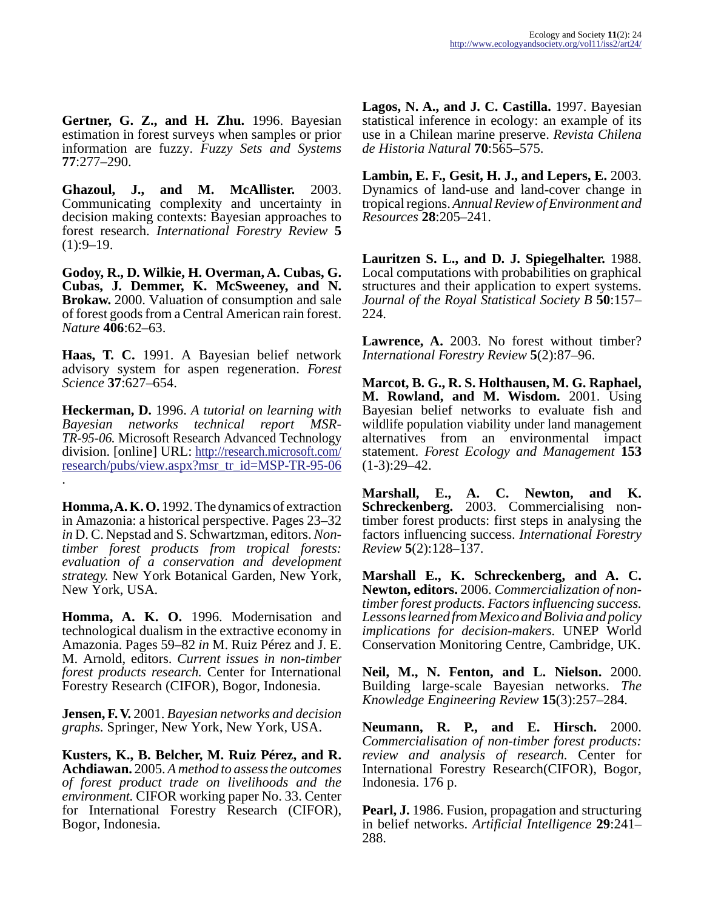**Gertner, G. Z., and H. Zhu.** 1996. Bayesian estimation in forest surveys when samples or prior information are fuzzy. *Fuzzy Sets and Systems* **77**:277–290.

**Ghazoul, J., and M. McAllister.** 2003. Communicating complexity and uncertainty in decision making contexts: Bayesian approaches to forest research. *International Forestry Review* **5**  $(1):9-19.$ 

**Godoy, R., D. Wilkie, H. Overman, A. Cubas, G. Cubas, J. Demmer, K. McSweeney, and N. Brokaw.** 2000. Valuation of consumption and sale of forest goods from a Central American rain forest. *Nature* **406**:62–63.

**Haas, T. C.** 1991. A Bayesian belief network advisory system for aspen regeneration. *Forest Science* **37**:627–654.

**Heckerman, D.** 1996. *A tutorial on learning with Bayesian networks technical report MSR-TR-95-06.* Microsoft Research Advanced Technology division. [online] URL: [http://research.microsoft.com/](http://research.microsoft.com/research/pubs/view.aspx?msr_tr_id=MSP-TR-95-06) [research/pubs/view.aspx?msr\\_tr\\_id=MSP-TR-95-06](http://research.microsoft.com/research/pubs/view.aspx?msr_tr_id=MSP-TR-95-06) .

**Homma, A. K. O.** 1992. The dynamics of extraction in Amazonia: a historical perspective. Pages 23–32 *in* D. C. Nepstad and S. Schwartzman, editors. *Nontimber forest products from tropical forests: evaluation of a conservation and development strategy.* New York Botanical Garden, New York, New York, USA.

**Homma, A. K. O.** 1996. Modernisation and technological dualism in the extractive economy in Amazonia. Pages 59–82 *in* M. Ruiz Pérez and J. E. M. Arnold, editors. *Current issues in non-timber forest products research.* Center for International Forestry Research (CIFOR), Bogor, Indonesia.

**Jensen, F. V.** 2001. *Bayesian networks and decision graphs.* Springer, New York, New York, USA.

**Kusters, K., B. Belcher, M. Ruiz Pérez, and R. Achdiawan.** 2005. *A method to assess the outcomes of forest product trade on livelihoods and the environment.* CIFOR working paper No. 33. Center for International Forestry Research (CIFOR), Bogor, Indonesia.

**Lagos, N. A., and J. C. Castilla.** 1997. Bayesian statistical inference in ecology: an example of its use in a Chilean marine preserve. *Revista Chilena de Historia Natural* **70**:565–575.

**Lambin, E. F., Gesit, H. J., and Lepers, E.** 2003. Dynamics of land-use and land-cover change in tropical regions. *Annual Review of Environment and Resources* **28**:205–241.

**Lauritzen S. L., and D. J. Spiegelhalter.** 1988. Local computations with probabilities on graphical structures and their application to expert systems. *Journal of the Royal Statistical Society B* **50**:157– 224.

**Lawrence, A.** 2003. No forest without timber? *International Forestry Review* **5**(2):87–96.

**Marcot, B. G., R. S. Holthausen, M. G. Raphael, M. Rowland, and M. Wisdom.** 2001. Using Bayesian belief networks to evaluate fish and wildlife population viability under land management alternatives from an environmental impact statement. *Forest Ecology and Management* **153**  $(1-3):29-42.$ 

**Marshall, E., A. C. Newton, and K. Schreckenberg.** 2003. Commercialising nontimber forest products: first steps in analysing the factors influencing success. *International Forestry Review* **5**(2):128–137.

**Marshall E., K. Schreckenberg, and A. C. Newton, editors.** 2006. *Commercialization of nontimber forest products. Factors influencing success. Lessons learned from Mexico and Bolivia and policy implications for decision-makers.* UNEP World Conservation Monitoring Centre, Cambridge, UK.

**Neil, M., N. Fenton, and L. Nielson.** 2000. Building large-scale Bayesian networks. *The Knowledge Engineering Review* **15**(3):257–284.

**Neumann, R. P., and E. Hirsch.** 2000. *Commercialisation of non-timber forest products: review and analysis of research.* Center for International Forestry Research(CIFOR), Bogor, Indonesia. 176 p.

**Pearl, J.** 1986. Fusion, propagation and structuring in belief networks. *Artificial Intelligence* **29**:241– 288.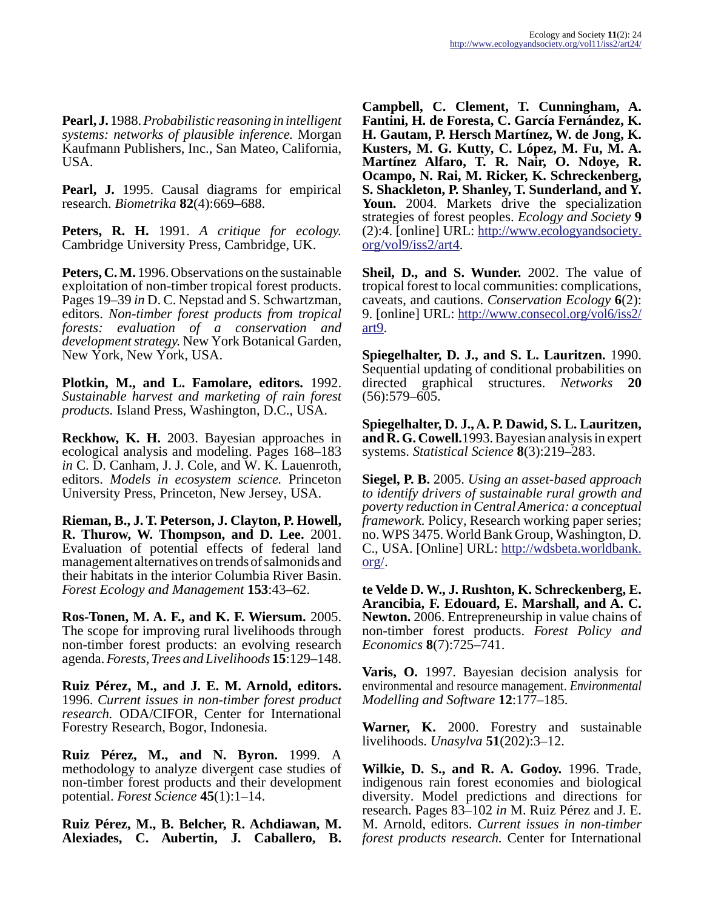**Pearl, J.** 1988. *Probabilistic reasoning in intelligent systems: networks of plausible inference.* Morgan Kaufmann Publishers, Inc., San Mateo, California, USA.

**Pearl, J.** 1995. Causal diagrams for empirical research. *Biometrika* **82**(4):669–688.

**Peters, R. H.** 1991. *A critique for ecology.* Cambridge University Press, Cambridge, UK.

**Peters, C. M.** 1996. Observations on the sustainable exploitation of non-timber tropical forest products. Pages 19–39 *in* D. C. Nepstad and S. Schwartzman, editors. *Non-timber forest products from tropical forests: evaluation of a conservation and development strategy.* New York Botanical Garden, New York, New York, USA.

**Plotkin, M., and L. Famolare, editors.** 1992. *Sustainable harvest and marketing of rain forest products.* Island Press, Washington, D.C., USA.

**Reckhow, K. H.** 2003. Bayesian approaches in ecological analysis and modeling. Pages 168–183 *in* C. D. Canham, J. J. Cole, and W. K. Lauenroth, editors. *Models in ecosystem science.* Princeton University Press, Princeton, New Jersey, USA.

**Rieman, B., J. T. Peterson, J. Clayton, P. Howell, R. Thurow, W. Thompson, and D. Lee.** 2001. Evaluation of potential effects of federal land management alternatives on trends of salmonids and their habitats in the interior Columbia River Basin. *Forest Ecology and Management* **153**:43–62.

**Ros-Tonen, M. A. F., and K. F. Wiersum.** 2005. The scope for improving rural livelihoods through non-timber forest products: an evolving research agenda. *Forests, Trees and Livelihoods* **15**:129–148.

**Ruiz Pérez, M., and J. E. M. Arnold, editors.** 1996. *Current issues in non-timber forest product research.* ODA/CIFOR, Center for International Forestry Research, Bogor, Indonesia.

**Ruiz Pérez, M., and N. Byron.** 1999. A methodology to analyze divergent case studies of non-timber forest products and their development potential. *Forest Science* **45**(1):1–14.

**Ruiz Pérez, M., B. Belcher, R. Achdiawan, M. Alexiades, C. Aubertin, J. Caballero, B.** **Campbell, C. Clement, T. Cunningham, A. Fantini, H. de Foresta, C. García Fernández, K. H. Gautam, P. Hersch Martínez, W. de Jong, K. Kusters, M. G. Kutty, C. López, M. Fu, M. A. Martínez Alfaro, T. R. Nair, O. Ndoye, R. Ocampo, N. Rai, M. Ricker, K. Schreckenberg, S. Shackleton, P. Shanley, T. Sunderland, and Y. Youn.** 2004. Markets drive the specialization strategies of forest peoples. *Ecology and Society* **9** (2):4. [online] URL: [http://www.ecologyandsociety.](http://www.ecologyandsociety.org/vol9/iss2/art4) [org/vol9/iss2/art4.](http://www.ecologyandsociety.org/vol9/iss2/art4)

**Sheil, D., and S. Wunder.** 2002. The value of tropical forest to local communities: complications, caveats, and cautions. *Conservation Ecology* **6**(2): 9. [online] URL: [http://www.consecol.org/vol6/iss2/](http://www.consecol.org/vol6/iss2/art9) [art9.](http://www.consecol.org/vol6/iss2/art9)

**Spiegelhalter, D. J., and S. L. Lauritzen.** 1990. Sequential updating of conditional probabilities on directed graphical structures. *Networks* **20** (56):579–605.

**Spiegelhalter, D. J., A. P. Dawid, S. L. Lauritzen, and R. G. Cowell.**1993. Bayesian analysis in expert systems. *Statistical Science* **8**(3):219–283.

**Siegel, P. B.** 2005. *Using an asset-based approach to identify drivers of sustainable rural growth and poverty reduction in Central America: a conceptual framework.* Policy, Research working paper series; no. WPS 3475. World Bank Group, Washington, D. C., USA. [Online] URL: [http://wdsbeta.worldbank.](http://wdsbeta.worldbank.org/) [org/](http://wdsbeta.worldbank.org/).

**te Velde D. W., J. Rushton, K. Schreckenberg, E. Arancibia, F. Edouard, E. Marshall, and A. C. Newton.** 2006. Entrepreneurship in value chains of non-timber forest products. *Forest Policy and Economics* **8**(7):725–741.

**Varis, O.** 1997. Bayesian decision analysis for environmental and resource management. *Environmental Modelling and Software* **12**:177–185.

**Warner, K.** 2000. Forestry and sustainable livelihoods. *Unasylva* **51**(202):3–12.

**Wilkie, D. S., and R. A. Godoy.** 1996. Trade, indigenous rain forest economies and biological diversity. Model predictions and directions for research. Pages 83–102 *in* M. Ruiz Pérez and J. E. M. Arnold, editors. *Current issues in non-timber forest products research.* Center for International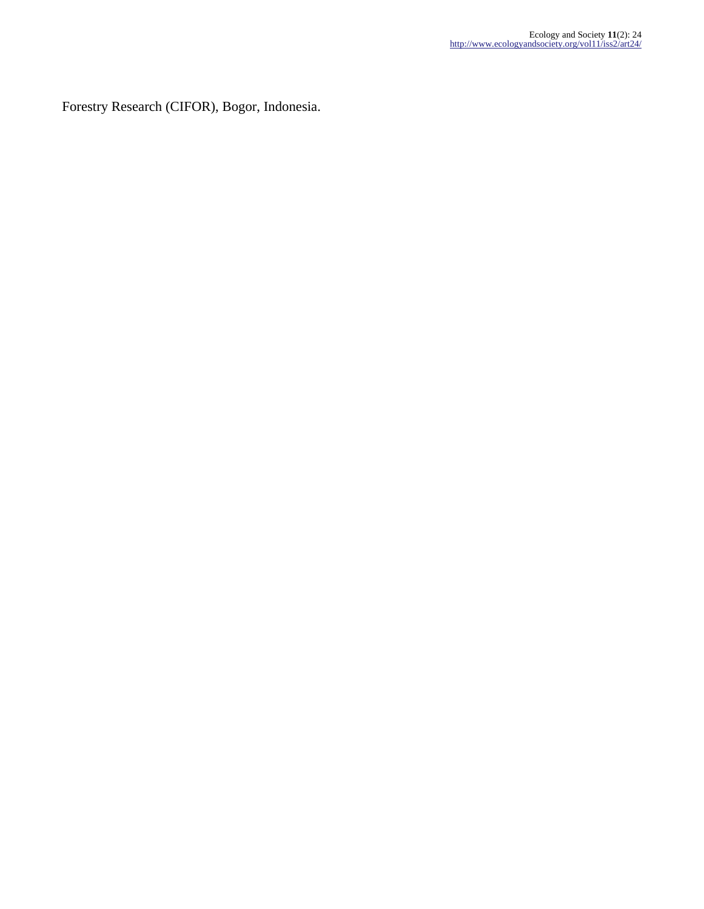Forestry Research (CIFOR), Bogor, Indonesia.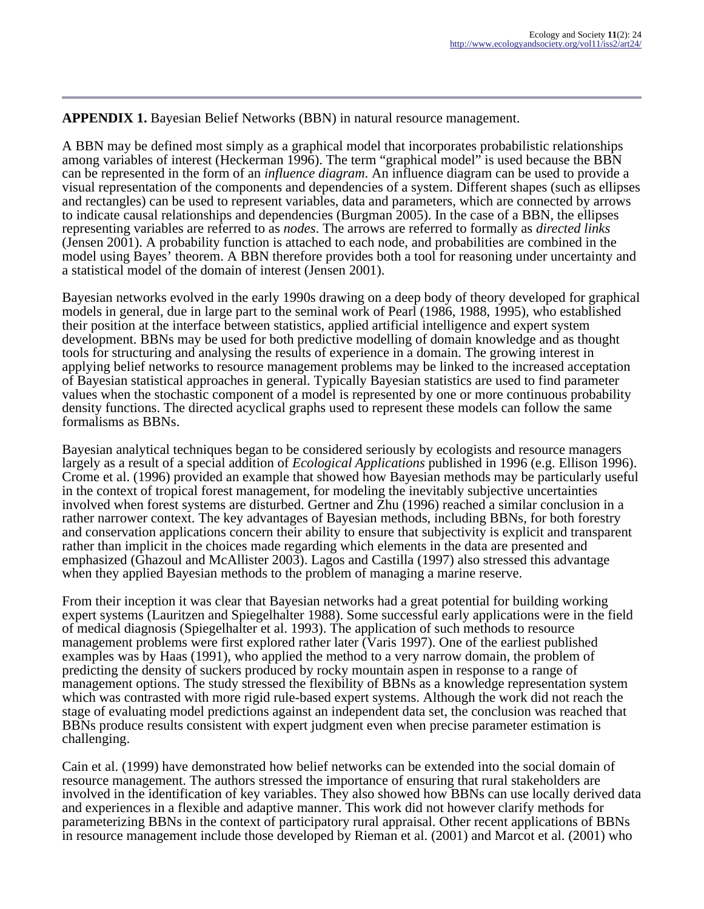**APPENDIX 1.** Bayesian Belief Networks (BBN) in natural resource management.

A BBN may be defined most simply as a graphical model that incorporates probabilistic relationships among variables of interest (Heckerman 1996). The term "graphical model" is used because the BBN can be represented in the form of an *influence diagram*. An influence diagram can be used to provide a visual representation of the components and dependencies of a system. Different shapes (such as ellipses and rectangles) can be used to represent variables, data and parameters, which are connected by arrows to indicate causal relationships and dependencies (Burgman 2005). In the case of a BBN, the ellipses representing variables are referred to as *nodes*. The arrows are referred to formally as *directed links* (Jensen 2001). A probability function is attached to each node, and probabilities are combined in the model using Bayes' theorem. A BBN therefore provides both a tool for reasoning under uncertainty and a statistical model of the domain of interest (Jensen 2001).

Bayesian networks evolved in the early 1990s drawing on a deep body of theory developed for graphical models in general, due in large part to the seminal work of Pearl (1986, 1988, 1995), who established their position at the interface between statistics, applied artificial intelligence and expert system development. BBNs may be used for both predictive modelling of domain knowledge and as thought tools for structuring and analysing the results of experience in a domain. The growing interest in applying belief networks to resource management problems may be linked to the increased acceptation of Bayesian statistical approaches in general. Typically Bayesian statistics are used to find parameter values when the stochastic component of a model is represented by one or more continuous probability density functions. The directed acyclical graphs used to represent these models can follow the same formalisms as BBNs.

Bayesian analytical techniques began to be considered seriously by ecologists and resource managers largely as a result of a special addition of *Ecological Applications* published in 1996 (e.g. Ellison 1996). Crome et al. (1996) provided an example that showed how Bayesian methods may be particularly useful in the context of tropical forest management, for modeling the inevitably subjective uncertainties involved when forest systems are disturbed. Gertner and Zhu (1996) reached a similar conclusion in a rather narrower context. The key advantages of Bayesian methods, including BBNs, for both forestry and conservation applications concern their ability to ensure that subjectivity is explicit and transparent rather than implicit in the choices made regarding which elements in the data are presented and emphasized (Ghazoul and McAllister 2003). Lagos and Castilla (1997) also stressed this advantage when they applied Bayesian methods to the problem of managing a marine reserve.

From their inception it was clear that Bayesian networks had a great potential for building working expert systems (Lauritzen and Spiegelhalter 1988). Some successful early applications were in the field of medical diagnosis (Spiegelhalter et al. 1993). The application of such methods to resource management problems were first explored rather later (Varis 1997). One of the earliest published examples was by Haas (1991), who applied the method to a very narrow domain, the problem of predicting the density of suckers produced by rocky mountain aspen in response to a range of management options. The study stressed the flexibility of BBNs as a knowledge representation system which was contrasted with more rigid rule-based expert systems. Although the work did not reach the stage of evaluating model predictions against an independent data set, the conclusion was reached that BBNs produce results consistent with expert judgment even when precise parameter estimation is challenging.

Cain et al. (1999) have demonstrated how belief networks can be extended into the social domain of resource management. The authors stressed the importance of ensuring that rural stakeholders are involved in the identification of key variables. They also showed how BBNs can use locally derived data and experiences in a flexible and adaptive manner. This work did not however clarify methods for parameterizing BBNs in the context of participatory rural appraisal. Other recent applications of BBNs in resource management include those developed by Rieman et al. (2001) and Marcot et al. (2001) who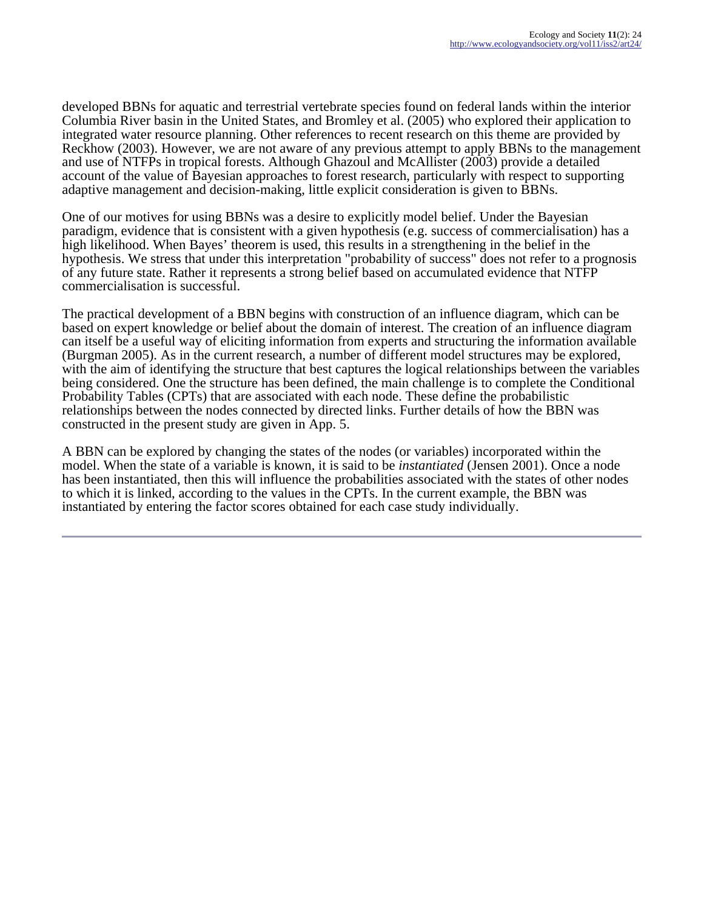developed BBNs for aquatic and terrestrial vertebrate species found on federal lands within the interior Columbia River basin in the United States, and Bromley et al. (2005) who explored their application to integrated water resource planning. Other references to recent research on this theme are provided by Reckhow (2003). However, we are not aware of any previous attempt to apply BBNs to the management and use of NTFPs in tropical forests. Although Ghazoul and McAllister (2003) provide a detailed account of the value of Bayesian approaches to forest research, particularly with respect to supporting adaptive management and decision-making, little explicit consideration is given to BBNs.

One of our motives for using BBNs was a desire to explicitly model belief. Under the Bayesian paradigm, evidence that is consistent with a given hypothesis (e.g. success of commercialisation) has a high likelihood. When Bayes' theorem is used, this results in a strengthening in the belief in the hypothesis. We stress that under this interpretation "probability of success" does not refer to a prognosis of any future state. Rather it represents a strong belief based on accumulated evidence that NTFP commercialisation is successful.

The practical development of a BBN begins with construction of an influence diagram, which can be based on expert knowledge or belief about the domain of interest. The creation of an influence diagram can itself be a useful way of eliciting information from experts and structuring the information available (Burgman 2005). As in the current research, a number of different model structures may be explored, with the aim of identifying the structure that best captures the logical relationships between the variables being considered. One the structure has been defined, the main challenge is to complete the Conditional Probability Tables (CPTs) that are associated with each node. These define the probabilistic relationships between the nodes connected by directed links. Further details of how the BBN was constructed in the present study are given in App. 5.

A BBN can be explored by changing the states of the nodes (or variables) incorporated within the model. When the state of a variable is known, it is said to be *instantiated* (Jensen 2001). Once a node has been instantiated, then this will influence the probabilities associated with the states of other nodes to which it is linked, according to the values in the CPTs. In the current example, the BBN was instantiated by entering the factor scores obtained for each case study individually.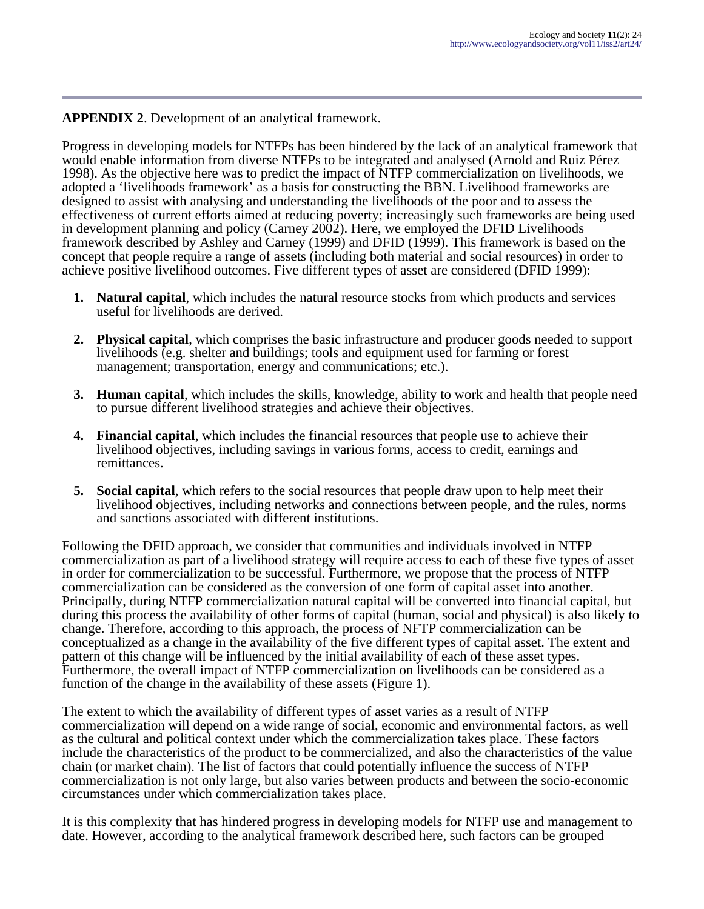**APPENDIX 2**. Development of an analytical framework.

Progress in developing models for NTFPs has been hindered by the lack of an analytical framework that would enable information from diverse NTFPs to be integrated and analysed (Arnold and Ruiz Pérez 1998). As the objective here was to predict the impact of NTFP commercialization on livelihoods, we adopted a 'livelihoods framework' as a basis for constructing the BBN. Livelihood frameworks are designed to assist with analysing and understanding the livelihoods of the poor and to assess the effectiveness of current efforts aimed at reducing poverty; increasingly such frameworks are being used in development planning and policy (Carney 2002). Here, we employed the DFID Livelihoods framework described by Ashley and Carney (1999) and DFID (1999). This framework is based on the concept that people require a range of assets (including both material and social resources) in order to achieve positive livelihood outcomes. Five different types of asset are considered (DFID 1999):

- **1. Natural capital**, which includes the natural resource stocks from which products and services useful for livelihoods are derived.
- **2. Physical capital**, which comprises the basic infrastructure and producer goods needed to support livelihoods (e.g. shelter and buildings; tools and equipment used for farming or forest management; transportation, energy and communications; etc.).
- **3. Human capital**, which includes the skills, knowledge, ability to work and health that people need to pursue different livelihood strategies and achieve their objectives.
- **4. Financial capital**, which includes the financial resources that people use to achieve their livelihood objectives, including savings in various forms, access to credit, earnings and remittances.
- **5. Social capital**, which refers to the social resources that people draw upon to help meet their livelihood objectives, including networks and connections between people, and the rules, norms and sanctions associated with different institutions.

Following the DFID approach, we consider that communities and individuals involved in NTFP commercialization as part of a livelihood strategy will require access to each of these five types of asset in order for commercialization to be successful. Furthermore, we propose that the process of NTFP commercialization can be considered as the conversion of one form of capital asset into another. Principally, during NTFP commercialization natural capital will be converted into financial capital, but during this process the availability of other forms of capital (human, social and physical) is also likely to change. Therefore, according to this approach, the process of NFTP commercialization can be conceptualized as a change in the availability of the five different types of capital asset. The extent and pattern of this change will be influenced by the initial availability of each of these asset types. Furthermore, the overall impact of NTFP commercialization on livelihoods can be considered as a function of the change in the availability of these assets (Figure 1).

The extent to which the availability of different types of asset varies as a result of NTFP commercialization will depend on a wide range of social, economic and environmental factors, as well as the cultural and political context under which the commercialization takes place. These factors include the characteristics of the product to be commercialized, and also the characteristics of the value chain (or market chain). The list of factors that could potentially influence the success of NTFP commercialization is not only large, but also varies between products and between the socio-economic circumstances under which commercialization takes place.

It is this complexity that has hindered progress in developing models for NTFP use and management to date. However, according to the analytical framework described here, such factors can be grouped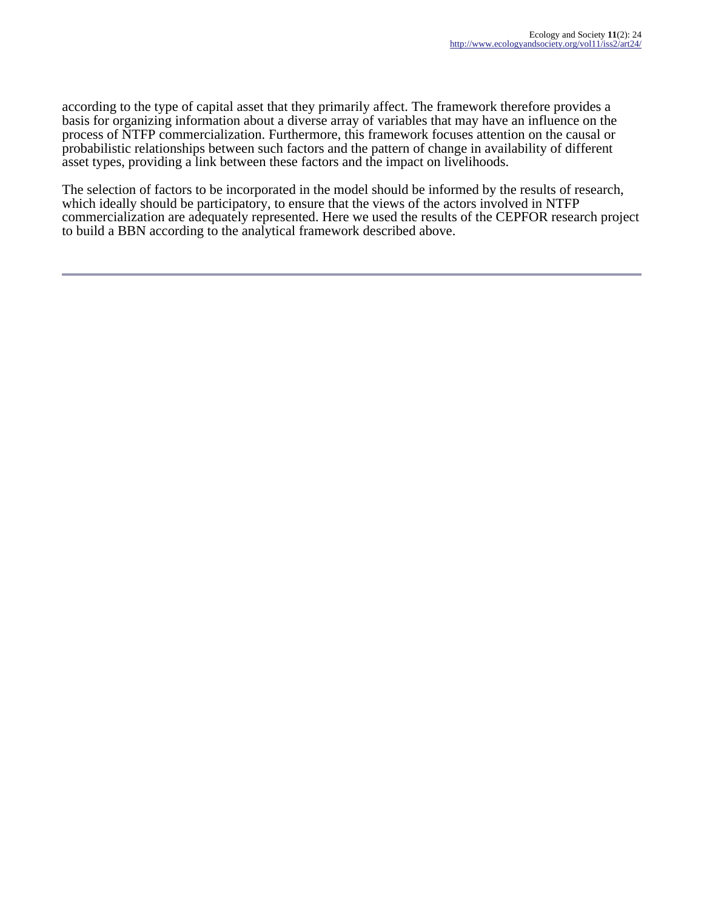according to the type of capital asset that they primarily affect. The framework therefore provides a basis for organizing information about a diverse array of variables that may have an influence on the process of NTFP commercialization. Furthermore, this framework focuses attention on the causal or probabilistic relationships between such factors and the pattern of change in availability of different asset types, providing a link between these factors and the impact on livelihoods.

The selection of factors to be incorporated in the model should be informed by the results of research, which ideally should be participatory, to ensure that the views of the actors involved in NTFP commercialization are adequately represented. Here we used the results of the CEPFOR research project to build a BBN according to the analytical framework described above.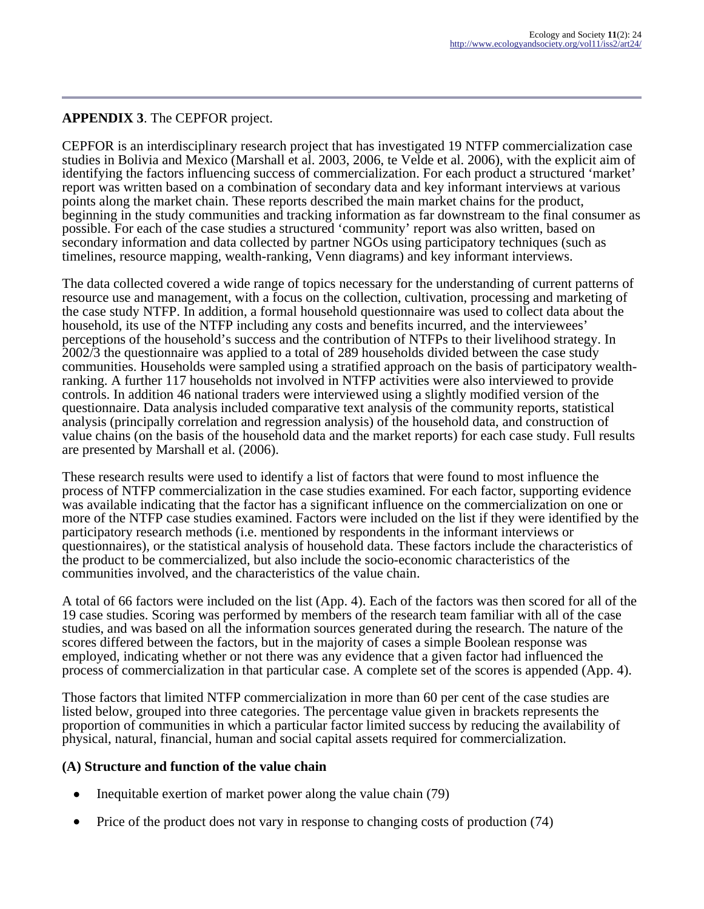# **APPENDIX 3**. The CEPFOR project.

CEPFOR is an interdisciplinary research project that has investigated 19 NTFP commercialization case studies in Bolivia and Mexico (Marshall et al. 2003, 2006, te Velde et al. 2006), with the explicit aim of identifying the factors influencing success of commercialization. For each product a structured 'market' report was written based on a combination of secondary data and key informant interviews at various points along the market chain. These reports described the main market chains for the product, beginning in the study communities and tracking information as far downstream to the final consumer as possible. For each of the case studies a structured 'community' report was also written, based on secondary information and data collected by partner NGOs using participatory techniques (such as timelines, resource mapping, wealth-ranking, Venn diagrams) and key informant interviews.

The data collected covered a wide range of topics necessary for the understanding of current patterns of resource use and management, with a focus on the collection, cultivation, processing and marketing of the case study NTFP. In addition, a formal household questionnaire was used to collect data about the household, its use of the NTFP including any costs and benefits incurred, and the interviewees' perceptions of the household's success and the contribution of NTFPs to their livelihood strategy. In 2002/3 the questionnaire was applied to a total of 289 households divided between the case study communities. Households were sampled using a stratified approach on the basis of participatory wealthranking. A further 117 households not involved in NTFP activities were also interviewed to provide controls. In addition 46 national traders were interviewed using a slightly modified version of the questionnaire. Data analysis included comparative text analysis of the community reports, statistical analysis (principally correlation and regression analysis) of the household data, and construction of value chains (on the basis of the household data and the market reports) for each case study. Full results are presented by Marshall et al. (2006).

These research results were used to identify a list of factors that were found to most influence the process of NTFP commercialization in the case studies examined. For each factor, supporting evidence was available indicating that the factor has a significant influence on the commercialization on one or more of the NTFP case studies examined. Factors were included on the list if they were identified by the participatory research methods (i.e. mentioned by respondents in the informant interviews or questionnaires), or the statistical analysis of household data. These factors include the characteristics of the product to be commercialized, but also include the socio-economic characteristics of the communities involved, and the characteristics of the value chain.

A total of 66 factors were included on the list (App. 4). Each of the factors was then scored for all of the 19 case studies. Scoring was performed by members of the research team familiar with all of the case studies, and was based on all the information sources generated during the research. The nature of the scores differed between the factors, but in the majority of cases a simple Boolean response was employed, indicating whether or not there was any evidence that a given factor had influenced the process of commercialization in that particular case. A complete set of the scores is appended (App. 4).

Those factors that limited NTFP commercialization in more than 60 per cent of the case studies are listed below, grouped into three categories. The percentage value given in brackets represents the proportion of communities in which a particular factor limited success by reducing the availability of physical, natural, financial, human and social capital assets required for commercialization.

### **(A) Structure and function of the value chain**

- Inequitable exertion of market power along the value chain (79)
- Price of the product does not vary in response to changing costs of production (74)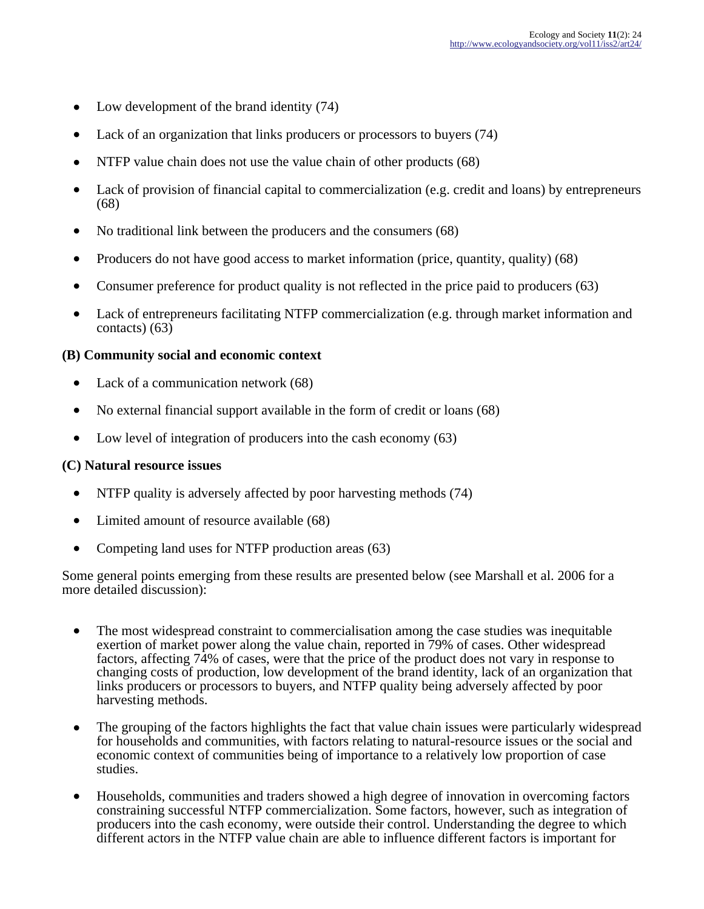- Low development of the brand identity (74)
- Lack of an organization that links producers or processors to buyers (74)
- NTFP value chain does not use the value chain of other products (68)
- Lack of provision of financial capital to commercialization (e.g. credit and loans) by entrepreneurs (68)
- No traditional link between the producers and the consumers (68)
- Producers do not have good access to market information (price, quantity, quality) (68)
- Consumer preference for product quality is not reflected in the price paid to producers (63)
- Lack of entrepreneurs facilitating NTFP commercialization (e.g. through market information and contacts) (63)

## **(B) Community social and economic context**

- Lack of a communication network (68)
- No external financial support available in the form of credit or loans (68)
- Low level of integration of producers into the cash economy (63)

### **(C) Natural resource issues**

- NTFP quality is adversely affected by poor harvesting methods (74)
- Limited amount of resource available (68)
- Competing land uses for NTFP production areas (63)

Some general points emerging from these results are presented below (see Marshall et al. 2006 for a more detailed discussion):

- The most widespread constraint to commercialisation among the case studies was inequitable exertion of market power along the value chain, reported in 79% of cases. Other widespread factors, affecting 74% of cases, were that the price of the product does not vary in response to changing costs of production, low development of the brand identity, lack of an organization that links producers or processors to buyers, and NTFP quality being adversely affected by poor harvesting methods.
- The grouping of the factors highlights the fact that value chain issues were particularly widespread for households and communities, with factors relating to natural-resource issues or the social and economic context of communities being of importance to a relatively low proportion of case studies.
- Households, communities and traders showed a high degree of innovation in overcoming factors constraining successful NTFP commercialization. Some factors, however, such as integration of producers into the cash economy, were outside their control. Understanding the degree to which different actors in the NTFP value chain are able to influence different factors is important for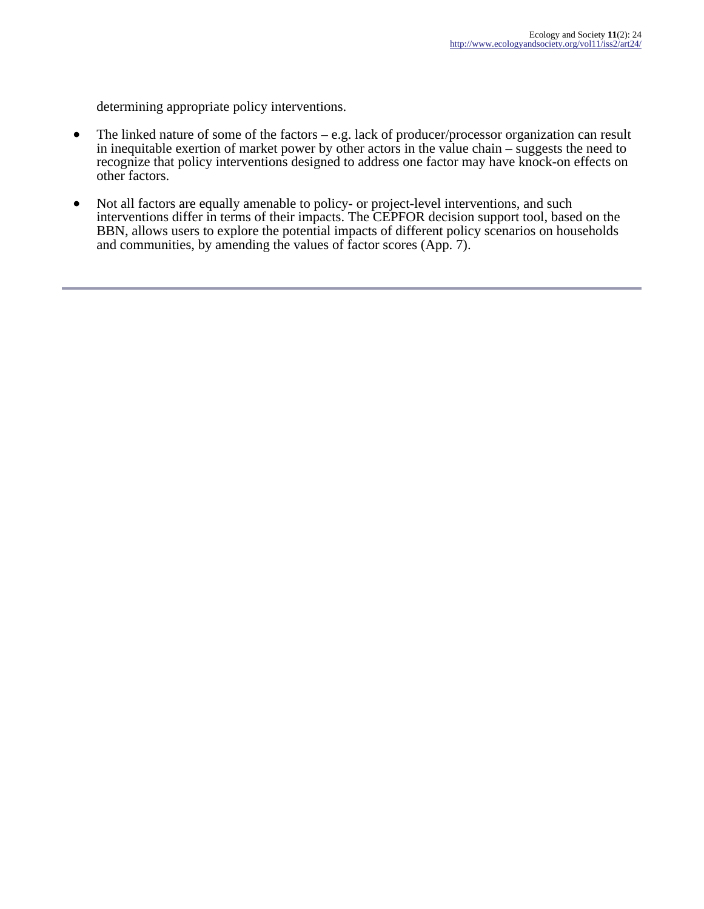determining appropriate policy interventions.

- The linked nature of some of the factors e.g. lack of producer/processor organization can result in inequitable exertion of market power by other actors in the value chain – suggests the need to recognize that policy interventions designed to address one factor may have knock-on effects on other factors.
- Not all factors are equally amenable to policy- or project-level interventions, and such interventions differ in terms of their impacts. The CEPFOR decision support tool, based on the BBN, allows users to explore the potential impacts of different policy scenarios on households and communities, by amending the values of factor scores (App. 7).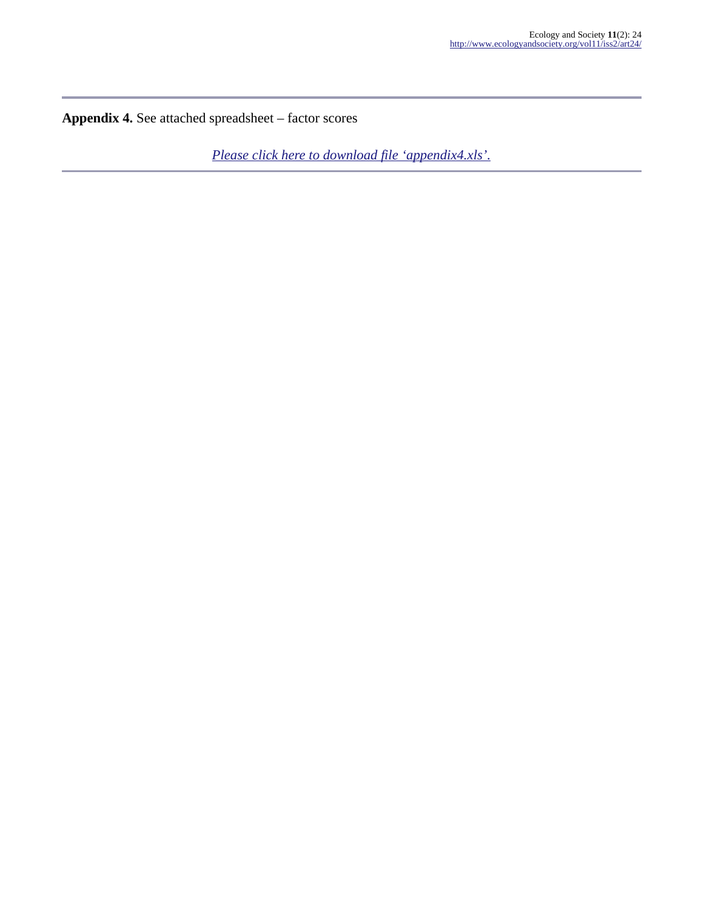**Appendix 4.** See attached spreadsheet – factor scores

*[Please click here to download file 'appendix4.xls'.](http://www.ecologyandsociety.org/1843/appendix4.xls)*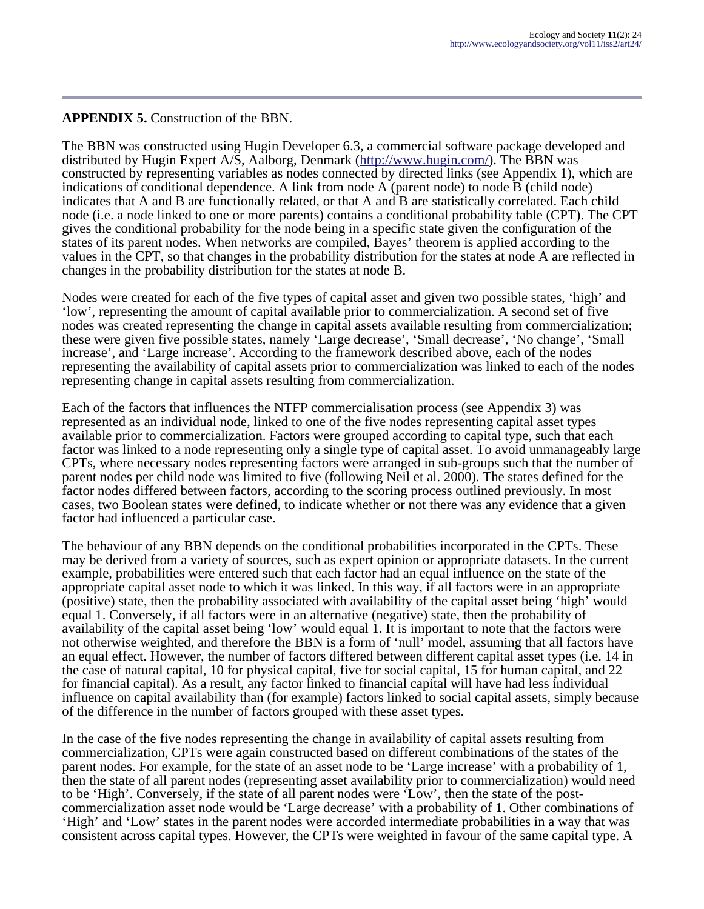### **APPENDIX 5.** Construction of the BBN.

The BBN was constructed using Hugin Developer 6.3, a commercial software package developed and distributed by Hugin Expert A/S, Aalborg, Denmark ([http://www.hugin.com/\)](http://www.hugin.com/). The BBN was constructed by representing variables as nodes connected by directed links (see Appendix 1), which are indications of conditional dependence. A link from node A (parent node) to node B (child node) indicates that A and B are functionally related, or that A and B are statistically correlated. Each child node (i.e. a node linked to one or more parents) contains a conditional probability table (CPT). The CPT gives the conditional probability for the node being in a specific state given the configuration of the states of its parent nodes. When networks are compiled, Bayes' theorem is applied according to the values in the CPT, so that changes in the probability distribution for the states at node A are reflected in changes in the probability distribution for the states at node B.

Nodes were created for each of the five types of capital asset and given two possible states, 'high' and 'low', representing the amount of capital available prior to commercialization. A second set of five nodes was created representing the change in capital assets available resulting from commercialization; these were given five possible states, namely 'Large decrease', 'Small decrease', 'No change', 'Small increase', and 'Large increase'. According to the framework described above, each of the nodes representing the availability of capital assets prior to commercialization was linked to each of the nodes representing change in capital assets resulting from commercialization.

Each of the factors that influences the NTFP commercialisation process (see Appendix 3) was represented as an individual node, linked to one of the five nodes representing capital asset types available prior to commercialization. Factors were grouped according to capital type, such that each factor was linked to a node representing only a single type of capital asset. To avoid unmanageably large CPTs, where necessary nodes representing factors were arranged in sub-groups such that the number of parent nodes per child node was limited to five (following Neil et al. 2000). The states defined for the factor nodes differed between factors, according to the scoring process outlined previously. In most cases, two Boolean states were defined, to indicate whether or not there was any evidence that a given factor had influenced a particular case.

The behaviour of any BBN depends on the conditional probabilities incorporated in the CPTs. These may be derived from a variety of sources, such as expert opinion or appropriate datasets. In the current example, probabilities were entered such that each factor had an equal influence on the state of the appropriate capital asset node to which it was linked. In this way, if all factors were in an appropriate (positive) state, then the probability associated with availability of the capital asset being 'high' would equal 1. Conversely, if all factors were in an alternative (negative) state, then the probability of availability of the capital asset being 'low' would equal 1. It is important to note that the factors were not otherwise weighted, and therefore the BBN is a form of 'null' model, assuming that all factors have an equal effect. However, the number of factors differed between different capital asset types (i.e. 14 in the case of natural capital, 10 for physical capital, five for social capital, 15 for human capital, and 22 for financial capital). As a result, any factor linked to financial capital will have had less individual influence on capital availability than (for example) factors linked to social capital assets, simply because of the difference in the number of factors grouped with these asset types.

In the case of the five nodes representing the change in availability of capital assets resulting from commercialization, CPTs were again constructed based on different combinations of the states of the parent nodes. For example, for the state of an asset node to be 'Large increase' with a probability of 1, then the state of all parent nodes (representing asset availability prior to commercialization) would need to be 'High'. Conversely, if the state of all parent nodes were 'Low', then the state of the postcommercialization asset node would be 'Large decrease' with a probability of 1. Other combinations of 'High' and 'Low' states in the parent nodes were accorded intermediate probabilities in a way that was consistent across capital types. However, the CPTs were weighted in favour of the same capital type. A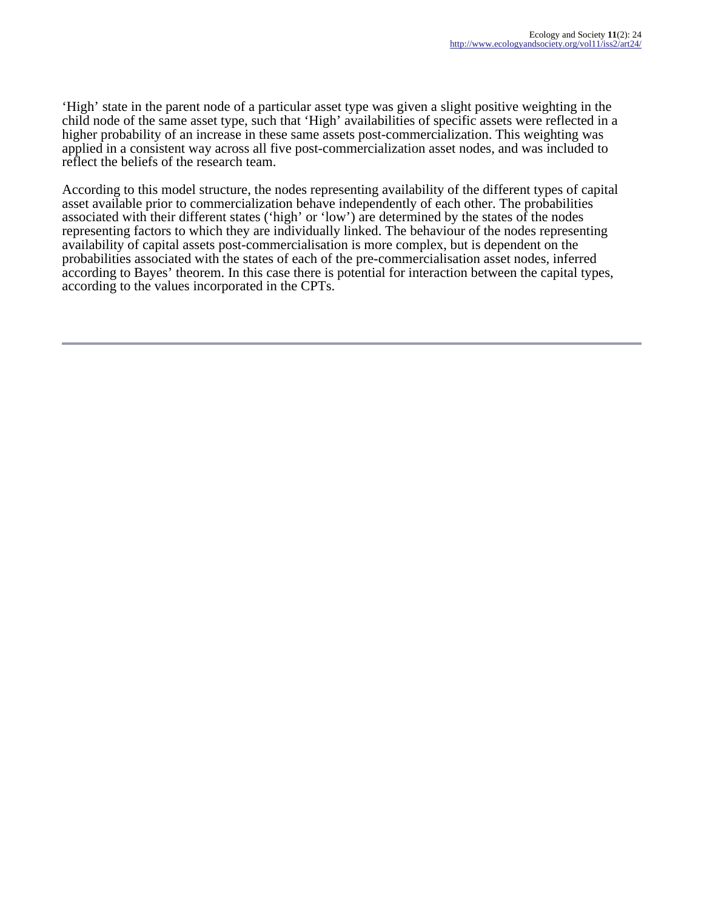'High' state in the parent node of a particular asset type was given a slight positive weighting in the child node of the same asset type, such that 'High' availabilities of specific assets were reflected in a higher probability of an increase in these same assets post-commercialization. This weighting was applied in a consistent way across all five post-commercialization asset nodes, and was included to reflect the beliefs of the research team.

According to this model structure, the nodes representing availability of the different types of capital asset available prior to commercialization behave independently of each other. The probabilities associated with their different states ('high' or 'low') are determined by the states of the nodes representing factors to which they are individually linked. The behaviour of the nodes representing availability of capital assets post-commercialisation is more complex, but is dependent on the probabilities associated with the states of each of the pre-commercialisation asset nodes, inferred according to Bayes' theorem. In this case there is potential for interaction between the capital types, according to the values incorporated in the CPTs.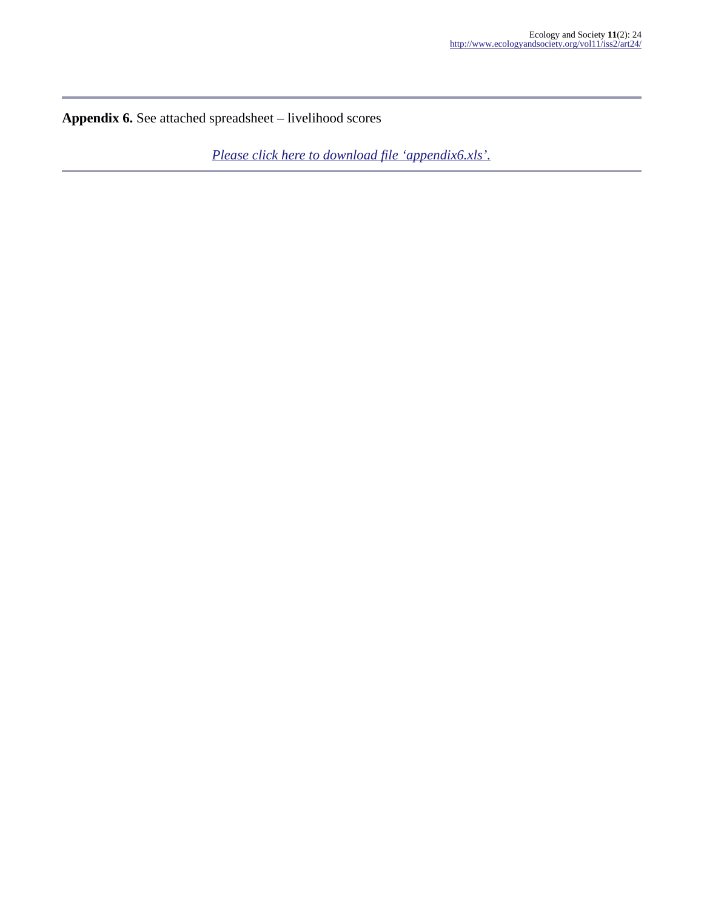**Appendix 6.** See attached spreadsheet – livelihood scores

*[Please click here to download file 'appendix6.xls'.](http://www.ecologyandsociety.org/1843/appendix6.xls)*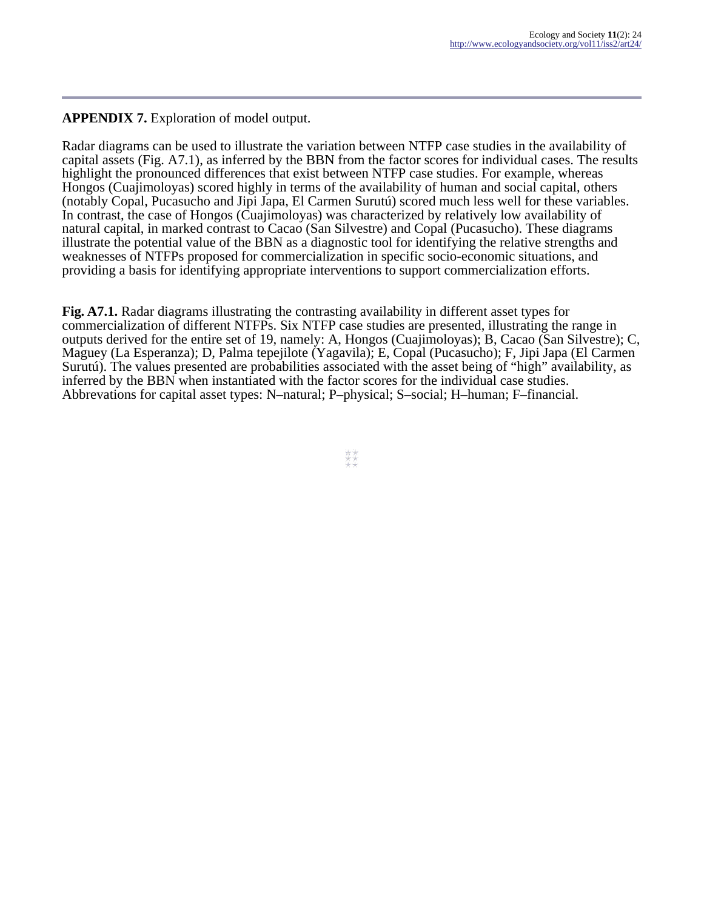## **APPENDIX 7.** Exploration of model output.

Radar diagrams can be used to illustrate the variation between NTFP case studies in the availability of capital assets (Fig. A7.1), as inferred by the BBN from the factor scores for individual cases. The results highlight the pronounced differences that exist between NTFP case studies. For example, whereas Hongos (Cuajimoloyas) scored highly in terms of the availability of human and social capital, others (notably Copal, Pucasucho and Jipi Japa, El Carmen Surutú) scored much less well for these variables. In contrast, the case of Hongos (Cuajimoloyas) was characterized by relatively low availability of natural capital, in marked contrast to Cacao (San Silvestre) and Copal (Pucasucho). These diagrams illustrate the potential value of the BBN as a diagnostic tool for identifying the relative strengths and weaknesses of NTFPs proposed for commercialization in specific socio-economic situations, and providing a basis for identifying appropriate interventions to support commercialization efforts.

**Fig. A7.1.** Radar diagrams illustrating the contrasting availability in different asset types for commercialization of different NTFPs. Six NTFP case studies are presented, illustrating the range in outputs derived for the entire set of 19, namely: A, Hongos (Cuajimoloyas); B, Cacao (San Silvestre); C, Maguey (La Esperanza); D, Palma tepejilote (Yagavila); E, Copal (Pucasucho); F, Jipi Japa (El Carmen Surutú). The values presented are probabilities associated with the asset being of "high" availability, as inferred by the BBN when instantiated with the factor scores for the individual case studies. Abbrevations for capital asset types: N–natural; P–physical; S–social; H–human; F–financial.

文文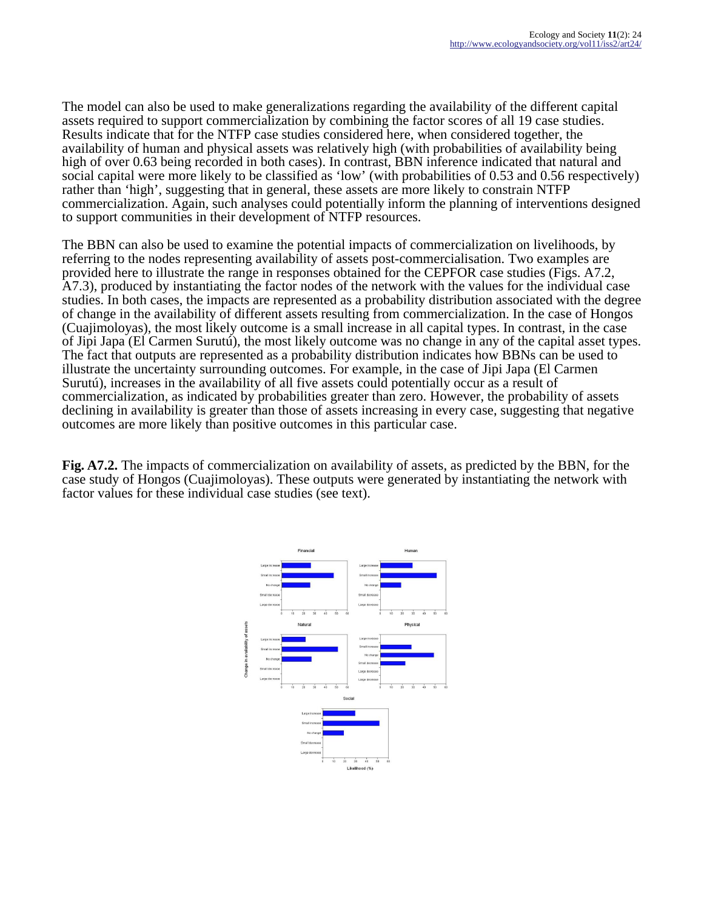The model can also be used to make generalizations regarding the availability of the different capital assets required to support commercialization by combining the factor scores of all 19 case studies. Results indicate that for the NTFP case studies considered here, when considered together, the availability of human and physical assets was relatively high (with probabilities of availability being high of over 0.63 being recorded in both cases). In contrast, BBN inference indicated that natural and social capital were more likely to be classified as 'low' (with probabilities of 0.53 and 0.56 respectively) rather than 'high', suggesting that in general, these assets are more likely to constrain NTFP commercialization. Again, such analyses could potentially inform the planning of interventions designed to support communities in their development of NTFP resources.

The BBN can also be used to examine the potential impacts of commercialization on livelihoods, by referring to the nodes representing availability of assets post-commercialisation. Two examples are provided here to illustrate the range in responses obtained for the CEPFOR case studies (Figs. A7.2, A7.3), produced by instantiating the factor nodes of the network with the values for the individual case studies. In both cases, the impacts are represented as a probability distribution associated with the degree of change in the availability of different assets resulting from commercialization. In the case of Hongos (Cuajimoloyas), the most likely outcome is a small increase in all capital types. In contrast, in the case of Jipi Japa (El Carmen Surutú), the most likely outcome was no change in any of the capital asset types. The fact that outputs are represented as a probability distribution indicates how BBNs can be used to illustrate the uncertainty surrounding outcomes. For example, in the case of Jipi Japa (El Carmen Surutú), increases in the availability of all five assets could potentially occur as a result of commercialization, as indicated by probabilities greater than zero. However, the probability of assets declining in availability is greater than those of assets increasing in every case, suggesting that negative outcomes are more likely than positive outcomes in this particular case.

**Fig. A7.2.** The impacts of commercialization on availability of assets, as predicted by the BBN, for the case study of Hongos (Cuajimoloyas). These outputs were generated by instantiating the network with factor values for these individual case studies (see text).

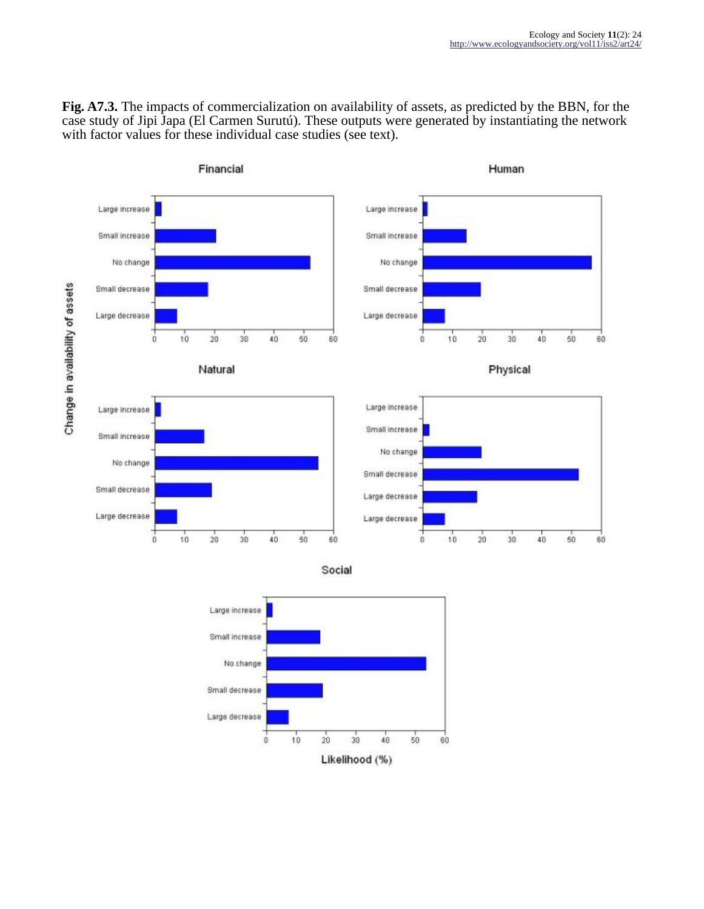**Fig. A7.3.** The impacts of commercialization on availability of assets, as predicted by the BBN, for the case study of Jipi Japa (El Carmen Surutú). These outputs were generated by instantiating the network with factor values for these individual case studies (see text).

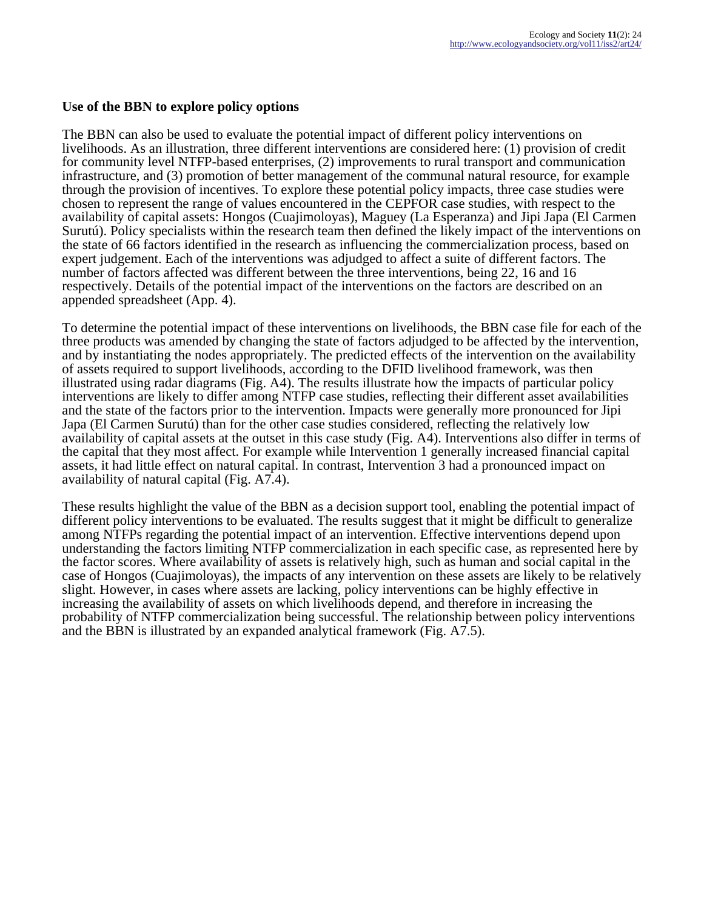### **Use of the BBN to explore policy options**

The BBN can also be used to evaluate the potential impact of different policy interventions on livelihoods. As an illustration, three different interventions are considered here: (1) provision of credit for community level NTFP-based enterprises, (2) improvements to rural transport and communication infrastructure, and (3) promotion of better management of the communal natural resource, for example through the provision of incentives. To explore these potential policy impacts, three case studies were chosen to represent the range of values encountered in the CEPFOR case studies, with respect to the availability of capital assets: Hongos (Cuajimoloyas), Maguey (La Esperanza) and Jipi Japa (El Carmen Surutú). Policy specialists within the research team then defined the likely impact of the interventions on the state of 66 factors identified in the research as influencing the commercialization process, based on expert judgement. Each of the interventions was adjudged to affect a suite of different factors. The number of factors affected was different between the three interventions, being 22, 16 and 16 respectively. Details of the potential impact of the interventions on the factors are described on an appended spreadsheet (App. 4).

To determine the potential impact of these interventions on livelihoods, the BBN case file for each of the three products was amended by changing the state of factors adjudged to be affected by the intervention, and by instantiating the nodes appropriately. The predicted effects of the intervention on the availability of assets required to support livelihoods, according to the DFID livelihood framework, was then illustrated using radar diagrams (Fig. A4). The results illustrate how the impacts of particular policy interventions are likely to differ among NTFP case studies, reflecting their different asset availabilities and the state of the factors prior to the intervention. Impacts were generally more pronounced for Jipi Japa (El Carmen Surutú) than for the other case studies considered, reflecting the relatively low availability of capital assets at the outset in this case study (Fig. A4). Interventions also differ in terms of the capital that they most affect. For example while Intervention 1 generally increased financial capital assets, it had little effect on natural capital. In contrast, Intervention 3 had a pronounced impact on availability of natural capital (Fig. A7.4).

These results highlight the value of the BBN as a decision support tool, enabling the potential impact of different policy interventions to be evaluated. The results suggest that it might be difficult to generalize among NTFPs regarding the potential impact of an intervention. Effective interventions depend upon understanding the factors limiting NTFP commercialization in each specific case, as represented here by the factor scores. Where availability of assets is relatively high, such as human and social capital in the case of Hongos (Cuajimoloyas), the impacts of any intervention on these assets are likely to be relatively slight. However, in cases where assets are lacking, policy interventions can be highly effective in increasing the availability of assets on which livelihoods depend, and therefore in increasing the probability of NTFP commercialization being successful. The relationship between policy interventions and the BBN is illustrated by an expanded analytical framework (Fig. A7.5).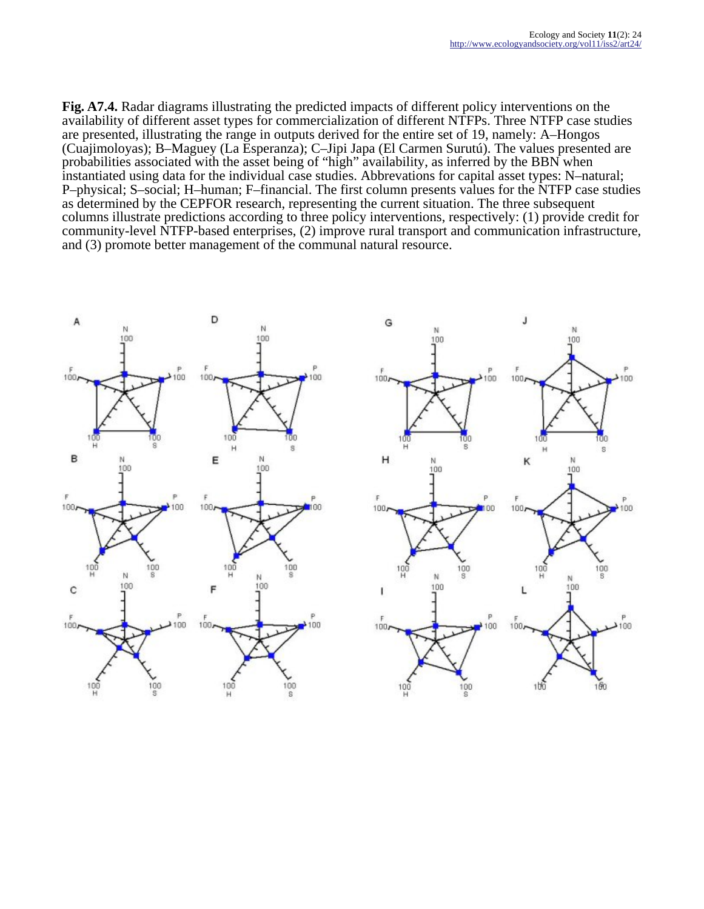**Fig. A7.4.** Radar diagrams illustrating the predicted impacts of different policy interventions on the availability of different asset types for commercialization of different NTFPs. Three NTFP case studies are presented, illustrating the range in outputs derived for the entire set of 19, namely: A–Hongos (Cuajimoloyas); B–Maguey (La Esperanza); C–Jipi Japa (El Carmen Surutú). The values presented are probabilities associated with the asset being of "high" availability, as inferred by the BBN when instantiated using data for the individual case studies. Abbrevations for capital asset types: N–natural; P–physical; S–social; H–human; F–financial. The first column presents values for the NTFP case studies as determined by the CEPFOR research, representing the current situation. The three subsequent columns illustrate predictions according to three policy interventions, respectively: (1) provide credit for community-level NTFP-based enterprises, (2) improve rural transport and communication infrastructure, and (3) promote better management of the communal natural resource.



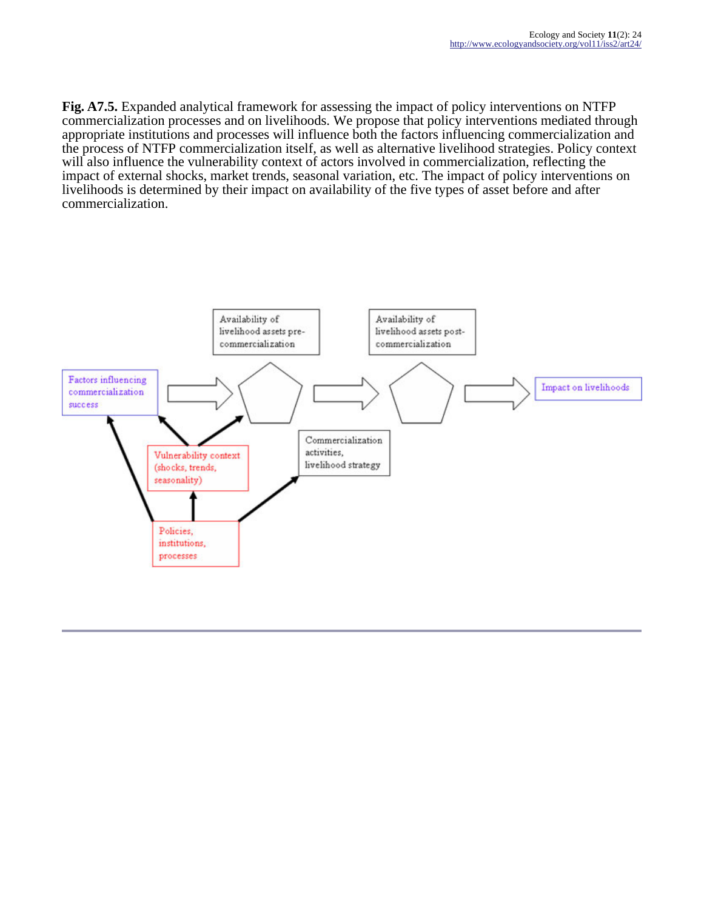**Fig. A7.5.** Expanded analytical framework for assessing the impact of policy interventions on NTFP commercialization processes and on livelihoods. We propose that policy interventions mediated through appropriate institutions and processes will influence both the factors influencing commercialization and the process of NTFP commercialization itself, as well as alternative livelihood strategies. Policy context will also influence the vulnerability context of actors involved in commercialization, reflecting the impact of external shocks, market trends, seasonal variation, etc. The impact of policy interventions on livelihoods is determined by their impact on availability of the five types of asset before and after commercialization.